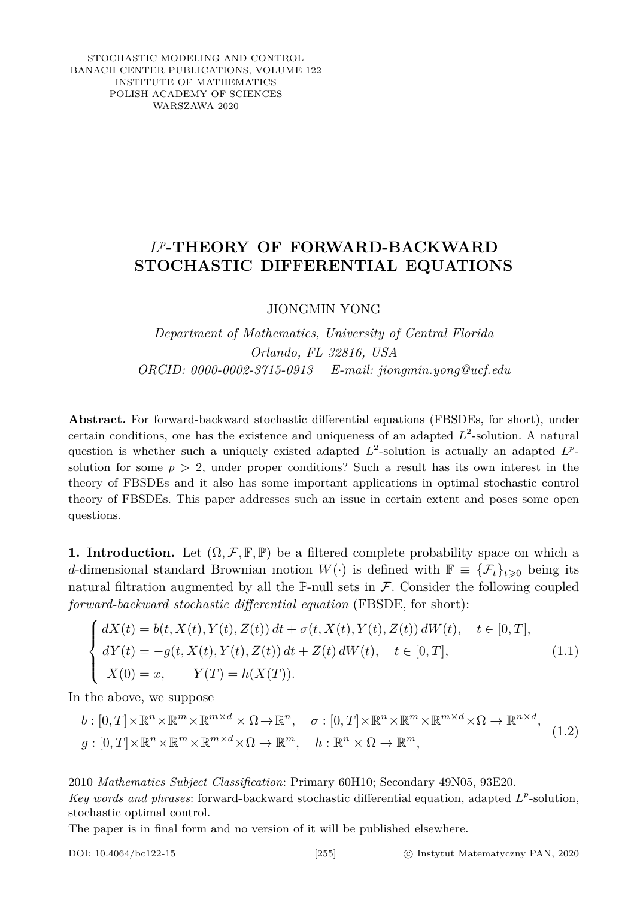STOCHASTIC MODELING AND CONTROL BANACH CENTER PUBLICATIONS, VOLUME 122 INSTITUTE OF MATHEMATICS POLISH ACADEMY OF SCIENCES WARSZAWA 2020

## *L p* **-THEORY OF FORWARD-BACKWARD STOCHASTIC DIFFERENTIAL EQUATIONS**

<span id="page-0-0"></span>JIONGMIN YONG

*Department of Mathematics, University of Central Florida Orlando, FL 32816, USA ORCID: 0000-0002-3715-0913 E-mail: jiongmin.yong@ucf.edu*

**Abstract.** For forward-backward stochastic differential equations (FBSDEs, for short), under certain conditions, one has the existence and uniqueness of an adapted  $L^2$ -solution. A natural question is whether such a uniquely existed adapted  $L^2$ -solution is actually an adapted  $L^p$ solution for some  $p > 2$ , under proper conditions? Such a result has its own interest in the theory of FBSDEs and it also has some important applications in optimal stochastic control theory of FBSDEs. This paper addresses such an issue in certain extent and poses some open questions.

**1. Introduction.** Let  $(\Omega, \mathcal{F}, \mathbb{F}, \mathbb{P})$  be a filtered complete probability space on which a *d*-dimensional standard Brownian motion  $W(\cdot)$  is defined with  $\mathbb{F} \equiv {\mathcal{F}_t}_{t\geq 0}$  being its natural filtration augmented by all the  $\mathbb{P}\text{-null sets}$  in F. Consider the following coupled *forward-backward stochastic differential equation* (FBSDE, for short):

$$
\begin{cases}\n dX(t) = b(t, X(t), Y(t), Z(t)) dt + \sigma(t, X(t), Y(t), Z(t)) dW(t), \quad t \in [0, T], \\
 dY(t) = -g(t, X(t), Y(t), Z(t)) dt + Z(t) dW(t), \quad t \in [0, T], \\
 X(0) = x, \qquad Y(T) = h(X(T)).\n\end{cases} (1.1)
$$

In the above, we suppose

$$
b: [0, T] \times \mathbb{R}^n \times \mathbb{R}^m \times \mathbb{R}^{m \times d} \times \Omega \to \mathbb{R}^n, \quad \sigma: [0, T] \times \mathbb{R}^n \times \mathbb{R}^m \times \mathbb{R}^{m \times d} \times \Omega \to \mathbb{R}^{n \times d},
$$
  
\n
$$
g: [0, T] \times \mathbb{R}^n \times \mathbb{R}^m \times \mathbb{R}^{m \times d} \times \Omega \to \mathbb{R}^m, \quad h: \mathbb{R}^n \times \Omega \to \mathbb{R}^m,
$$
 (1.2)

2010 *Mathematics Subject Classification*: Primary 60H10; Secondary 49N05, 93E20.

The paper is in final form and no version of it will be published elsewhere.

*Key words and phrases*: forward-backward stochastic differential equation, adapted *L p* -solution, stochastic optimal control.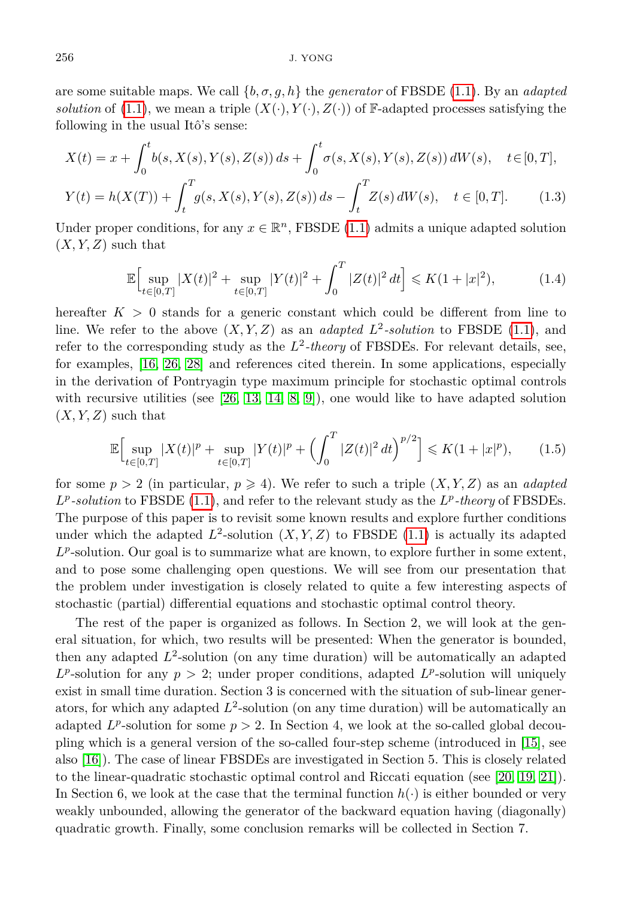are some suitable maps. We call {*b, σ, g, h*} the *generator* of FBSDE [\(1.1\)](#page-0-0). By an *adapted solution* of [\(1.1\)](#page-0-0), we mean a triple  $(X(\cdot), Y(\cdot), Z(\cdot))$  of F-adapted processes satisfying the following in the usual Itô's sense:

$$
X(t) = x + \int_0^t b(s, X(s), Y(s), Z(s)) ds + \int_0^t \sigma(s, X(s), Y(s), Z(s)) dW(s), \quad t \in [0, T],
$$

$$
Y(t) = h(X(T)) + \int_{t}^{T} g(s, X(s), Y(s), Z(s)) ds - \int_{t}^{T} Z(s) dW(s), \quad t \in [0, T].
$$
 (1.3)

Under proper conditions, for any  $x \in \mathbb{R}^n$ , FBSDE [\(1.1\)](#page-0-0) admits a unique adapted solution  $(X, Y, Z)$  such that

$$
\mathbb{E}\Big[\sup_{t\in[0,T]}|X(t)|^2+\sup_{t\in[0,T]}|Y(t)|^2+\int_0^T|Z(t)|^2\,dt\Big]\leqslant K(1+|x|^2),\tag{1.4}
$$

hereafter  $K > 0$  stands for a generic constant which could be different from line to line. We refer to the above  $(X, Y, Z)$  as an *adapted*  $L^2$ -solution to FBSDE [\(1.1\)](#page-0-0), and refer to the corresponding study as the  $L^2$ -theory of FBSDEs. For relevant details, see, for examples, [\[16,](#page-30-0) [26,](#page-31-0) [28\]](#page-31-1) and references cited therein. In some applications, especially in the derivation of Pontryagin type maximum principle for stochastic optimal controls with recursive utilities (see  $[26, 13, 14, 8, 9]$  $[26, 13, 14, 8, 9]$  $[26, 13, 14, 8, 9]$  $[26, 13, 14, 8, 9]$  $[26, 13, 14, 8, 9]$ ), one would like to have adapted solution  $(X, Y, Z)$  such that

$$
\mathbb{E}\Big[\sup_{t\in[0,T]}|X(t)|^p+\sup_{t\in[0,T]}|Y(t)|^p+\left(\int_0^T|Z(t)|^2\,dt\right)^{p/2}\Big]\leqslant K(1+|x|^p),\qquad(1.5)
$$

for some  $p > 2$  (in particular,  $p \ge 4$ ). We refer to such a triple  $(X, Y, Z)$  as an *adapted*  $L^p$ -solution to FBSDE [\(1.1\)](#page-0-0), and refer to the relevant study as the  $L^p$ -theory of FBSDEs. The purpose of this paper is to revisit some known results and explore further conditions under which the adapted  $L^2$ -solution  $(X, Y, Z)$  to FBSDE  $(1.1)$  is actually its adapted  $L^p$ -solution. Our goal is to summarize what are known, to explore further in some extent, and to pose some challenging open questions. We will see from our presentation that the problem under investigation is closely related to quite a few interesting aspects of stochastic (partial) differential equations and stochastic optimal control theory.

The rest of the paper is organized as follows. In Section 2, we will look at the general situation, for which, two results will be presented: When the generator is bounded, then any adapted  $L^2$ -solution (on any time duration) will be automatically an adapted  $L^p$ -solution for any  $p > 2$ ; under proper conditions, adapted  $L^p$ -solution will uniquely exist in small time duration. Section 3 is concerned with the situation of sub-linear generators, for which any adapted  $L^2$ -solution (on any time duration) will be automatically an adapted  $L^p$ -solution for some  $p > 2$ . In Section 4, we look at the so-called global decoupling which is a general version of the so-called four-step scheme (introduced in [\[15\]](#page-30-5), see also [\[16\]](#page-30-0)). The case of linear FBSDEs are investigated in Section 5. This is closely related to the linear-quadratic stochastic optimal control and Riccati equation (see [\[20,](#page-31-2) [19,](#page-31-3) [21\]](#page-31-4)). In Section 6, we look at the case that the terminal function  $h(\cdot)$  is either bounded or very weakly unbounded, allowing the generator of the backward equation having (diagonally) quadratic growth. Finally, some conclusion remarks will be collected in Section 7.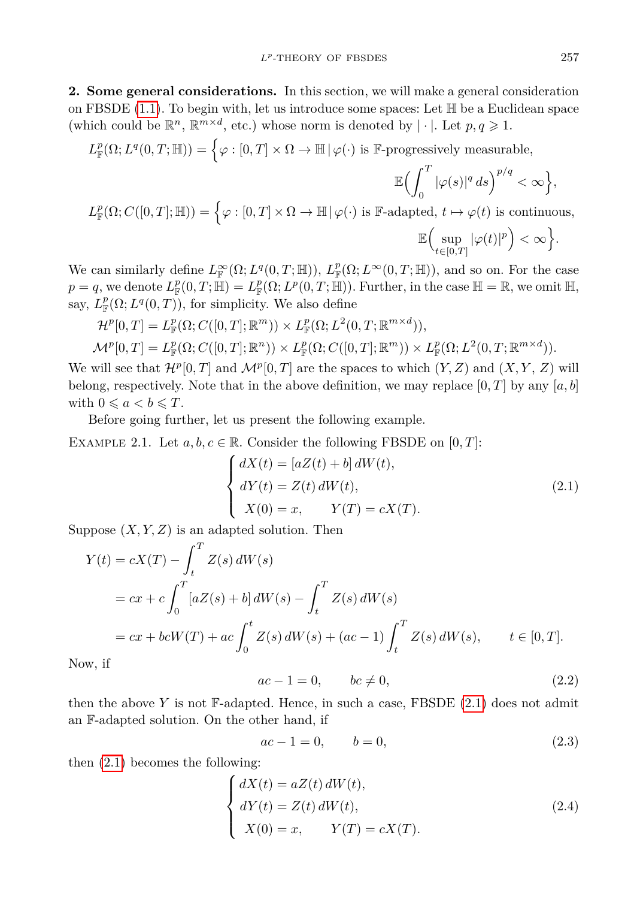**2. Some general considerations.** In this section, we will make a general consideration on FBSDE  $(1.1)$ . To begin with, let us introduce some spaces: Let  $\mathbb H$  be a Euclidean space (which could be  $\mathbb{R}^n$ ,  $\mathbb{R}^{m \times d}$ , etc.) whose norm is denoted by  $|\cdot|$ . Let  $p, q \geq 1$ .

 $L_{\mathbb{F}}^p(\Omega; L^q(0,T;\mathbb{H})) = \Big\{\varphi: [0,T] \times \Omega \to \mathbb{H} \,|\, \varphi(\cdot) \text{ is } \mathbb{F}\text{-progressively measurable}, \Big\}$ 

$$
\mathbb{E}\Bigl(\int_0^T |\varphi(s)|^q ds\Bigr)^{p/q} < \infty\Bigr\},\
$$

 $L_{\mathbb{F}}^p(\Omega; C([0,T]; \mathbb{H})) = \left\{ \varphi : [0,T] \times \Omega \to \mathbb{H} \, | \, \varphi(\cdot) \text{ is } \mathbb{F}\text{-adapted, } t \mapsto \varphi(t) \text{ is continuous, } \right\}$ 

<span id="page-2-0"></span> $\mathbb{E}$  (sup *t*∈[0*,T*]  $|\varphi(t)|^p$   $< \infty$   $\}.$ 

We can similarly define  $L^{\infty}_{\mathbb{F}}(\Omega; L^q(0,T;\mathbb{H}))$ ,  $L^p_{\mathbb{F}}(\Omega; L^{\infty}(0,T;\mathbb{H}))$ , and so on. For the case  $p = q$ , we denote  $L_{\mathbb{F}}^p(0,T;\mathbb{H}) = L_{\mathbb{F}}^p(\Omega; L^p(0,T;\mathbb{H}))$ . Further, in the case  $\mathbb{H} = \mathbb{R}$ , we omit  $\mathbb{H}$ , say,  $L^p_{\mathbb{F}}(\Omega; L^q(0,T))$ , for simplicity. We also define

 $\mathcal{H}^p[0,T] = L^p_{\mathbb{F}}(\Omega; C([0,T];\mathbb{R}^m)) \times L^p_{\mathbb{F}}(\Omega; L^2(0,T;\mathbb{R}^{m \times d})),$ 

 $\mathcal{M}^p[0,T] = L^p_{\mathbb{F}}(\Omega; C([0,T]; \mathbb{R}^n)) \times L^p_{\mathbb{F}}(\Omega; C([0,T]; \mathbb{R}^m)) \times L^p_{\mathbb{F}}(\Omega; L^2(0,T; \mathbb{R}^{m \times d})).$ 

We will see that  $\mathcal{H}^p[0,T]$  and  $\mathcal{M}^p[0,T]$  are the spaces to which  $(Y,Z)$  and  $(X,Y,Z)$  will belong, respectively. Note that in the above definition, we may replace [0*, T*] by any [*a, b*] with  $0 \leq a < b \leq T$ .

Before going further, let us present the following example.

<span id="page-2-2"></span>EXAMPLE 2.1. Let  $a, b, c \in \mathbb{R}$ . Consider the following FBSDE on  $[0, T]$ :

$$
\begin{cases}\n dX(t) = [aZ(t) + b] dW(t), \\
 dY(t) = Z(t) dW(t), \\
 X(0) = x, \qquad Y(T) = cX(T).\n\end{cases}
$$
\n(2.1)

Suppose  $(X, Y, Z)$  is an adapted solution. Then

$$
Y(t) = cX(T) - \int_{t}^{T} Z(s) dW(s)
$$
  
=  $cx + c \int_{0}^{T} [aZ(s) + b] dW(s) - \int_{t}^{T} Z(s) dW(s)$   
=  $cx + bcW(T) + ac \int_{0}^{t} Z(s) dW(s) + (ac - 1) \int_{t}^{T} Z(s) dW(s), \qquad t \in [0, T].$ 

Now, if

$$
ac - 1 = 0, \qquad bc \neq 0,\tag{2.2}
$$

then the above *Y* is not F-adapted. Hence, in such a case, FBSDE  $(2.1)$  does not admit an F-adapted solution. On the other hand, if

<span id="page-2-1"></span>
$$
ac - 1 = 0, \t b = 0,
$$
\t(2.3)

then [\(2.1\)](#page-2-0) becomes the following:

$$
\begin{cases}\n dX(t) = aZ(t) dW(t), \\
 dY(t) = Z(t) dW(t), \\
 X(0) = x, \qquad Y(T) = cX(T).\n\end{cases}
$$
\n(2.4)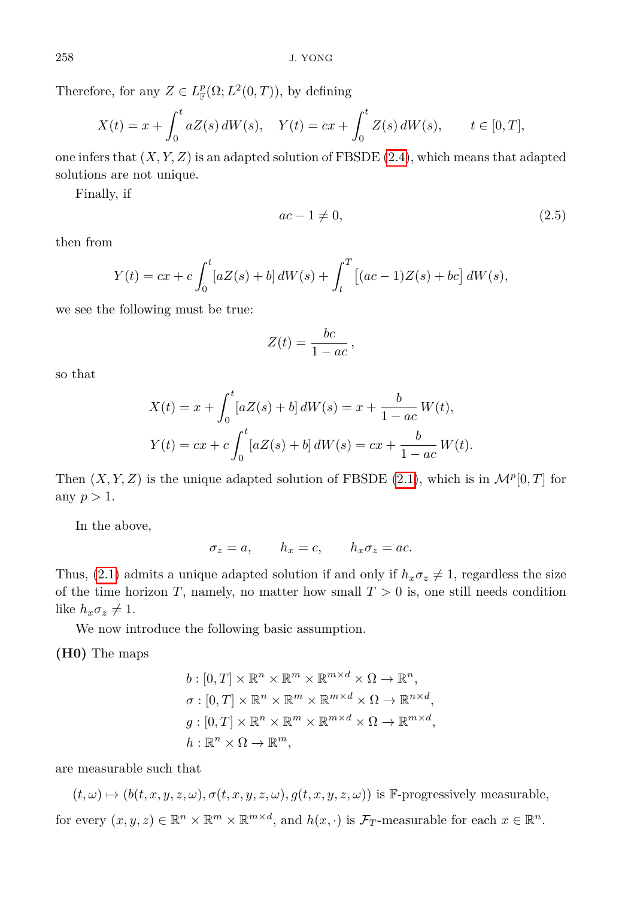Therefore, for any  $Z \in L^p_{\mathbb{F}}(\Omega; L^2(0,T))$ , by defining

$$
X(t) = x + \int_0^t aZ(s) dW(s), \quad Y(t) = cx + \int_0^t Z(s) dW(s), \qquad t \in [0, T],
$$

one infers that (*X, Y, Z*) is an adapted solution of FBSDE [\(2.4\)](#page-2-1), which means that adapted solutions are not unique.

Finally, if

$$
ac - 1 \neq 0,\tag{2.5}
$$

then from

$$
Y(t) = cx + c \int_0^t [aZ(s) + b] dW(s) + \int_t^T [(ac - 1)Z(s) + bc] dW(s),
$$

we see the following must be true:

$$
Z(t) = \frac{bc}{1 - ac},
$$

so that

$$
X(t) = x + \int_0^t [aZ(s) + b] dW(s) = x + \frac{b}{1 - ac} W(t),
$$
  

$$
Y(t) = cx + c \int_0^t [aZ(s) + b] dW(s) = cx + \frac{b}{1 - ac} W(t).
$$

Then  $(X, Y, Z)$  is the unique adapted solution of FBSDE  $(2.1)$ , which is in  $\mathcal{M}^p[0,T]$  for any  $p > 1$ .

In the above,

$$
\sigma_z = a, \qquad h_x = c, \qquad h_x \sigma_z = ac.
$$

Thus, [\(2.1\)](#page-2-0) admits a unique adapted solution if and only if  $h_x \sigma_z \neq 1$ , regardless the size of the time horizon  $T$ , namely, no matter how small  $T > 0$  is, one still needs condition like  $h_x \sigma_z \neq 1$ .

We now introduce the following basic assumption.

**(H0)** The maps

$$
b: [0, T] \times \mathbb{R}^n \times \mathbb{R}^m \times \mathbb{R}^{m \times d} \times \Omega \to \mathbb{R}^n,
$$
  
\n
$$
\sigma: [0, T] \times \mathbb{R}^n \times \mathbb{R}^m \times \mathbb{R}^{m \times d} \times \Omega \to \mathbb{R}^{n \times d},
$$
  
\n
$$
g: [0, T] \times \mathbb{R}^n \times \mathbb{R}^m \times \mathbb{R}^{m \times d} \times \Omega \to \mathbb{R}^{m \times d},
$$
  
\n
$$
h: \mathbb{R}^n \times \Omega \to \mathbb{R}^m,
$$

are measurable such that

 $(t, \omega) \mapsto (b(t, x, y, z, \omega), \sigma(t, x, y, z, \omega), g(t, x, y, z, \omega))$  is F-progressively measurable, for every  $(x, y, z) \in \mathbb{R}^n \times \mathbb{R}^m \times \mathbb{R}^{m \times d}$ , and  $h(x, \cdot)$  is  $\mathcal{F}_T$ -measurable for each  $x \in \mathbb{R}^n$ .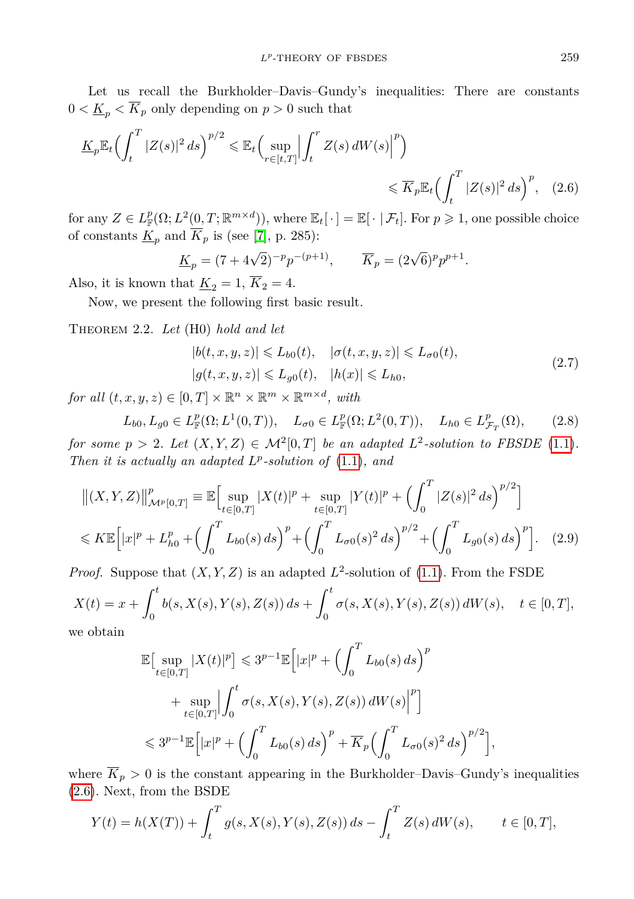Let us recall the Burkholder–Davis–Gundy's inequalities: There are constants  $0 < \underline{K}_p < \overline{K}_p$  only depending on  $p > 0$  such that

$$
\underline{K}_p \mathbb{E}_t \Big( \int_t^T |Z(s)|^2 ds \Big)^{p/2} \leq \mathbb{E}_t \Big( \sup_{r \in [t,T]} \Big| \int_t^r Z(s) dW(s) \Big|^p \Big) \leq \overline{K}_p \mathbb{E}_t \Big( \int_t^T |Z(s)|^2 ds \Big)^p, \quad (2.6)
$$

for any  $Z \in L^p_{\mathbb{F}}(\Omega; L^2(0,T;\mathbb{R}^{m \times d}))$ , where  $\mathbb{E}_t[\cdot] = \mathbb{E}[\cdot | \mathcal{F}_t]$ . For  $p \geqslant 1$ , one possible choice of constants  $\underline{\tilde{K}}_p$  and  $\overline{K}_p$  is (see [\[7\]](#page-30-6), p. 285):

<span id="page-4-0"></span>
$$
\underline{K}_p = (7 + 4\sqrt{2})^{-p} p^{-(p+1)}, \qquad \overline{K}_p = (2\sqrt{6})^p p^{p+1}.
$$

Also, it is known that  $\underline{K}_2 = 1$ ,  $\overline{K}_2 = 4$ .

Now, we present the following first basic result.

<span id="page-4-3"></span>Theorem 2.2. *Let* (H0) *hold and let*

<span id="page-4-2"></span><span id="page-4-1"></span>
$$
|b(t, x, y, z)| \leqslant L_{b0}(t), \quad |\sigma(t, x, y, z)| \leqslant L_{\sigma 0}(t),
$$
  

$$
|g(t, x, y, z)| \leqslant L_{g0}(t), \quad |h(x)| \leqslant L_{h0},
$$
\n
$$
(2.7)
$$

*for all*  $(t, x, y, z) \in [0, T] \times \mathbb{R}^n \times \mathbb{R}^m \times \mathbb{R}^{m \times d}$ , with

$$
L_{b0}, L_{g0} \in L^p_{\mathbb{F}}(\Omega; L^1(0,T)), \quad L_{\sigma 0} \in L^p_{\mathbb{F}}(\Omega; L^2(0,T)), \quad L_{h0} \in L^p_{\mathcal{F}_T}(\Omega), \tag{2.8}
$$

*for some*  $p > 2$ *. Let*  $(X, Y, Z) \in \mathcal{M}^2[0,T]$  *be an adapted*  $L^2$ -solution to FBSDE [\(1.1\)](#page-0-0). *Then it is actually an adapted*  $L^p$ -solution of  $(1.1)$ *, and* 

$$
\left\| (X, Y, Z) \right\|_{\mathcal{M}^p[0,T]}^p \equiv \mathbb{E} \Big[ \sup_{t \in [0,T]} |X(t)|^p + \sup_{t \in [0,T]} |Y(t)|^p + \left( \int_0^T |Z(s)|^2 ds \right)^{p/2} \Big] \leq K \mathbb{E} \Big[ |x|^p + L_{h0}^p + \left( \int_0^T L_{b0}(s) ds \right)^p + \left( \int_0^T L_{\sigma 0}(s)^2 ds \right)^{p/2} + \left( \int_0^T L_{g0}(s) ds \right)^p \Big]. \tag{2.9}
$$

*Proof.* Suppose that  $(X, Y, Z)$  is an adapted  $L^2$ -solution of [\(1.1\)](#page-0-0). From the FSDE

$$
X(t) = x + \int_0^t b(s, X(s), Y(s), Z(s)) ds + \int_0^t \sigma(s, X(s), Y(s), Z(s)) dW(s), \quad t \in [0, T],
$$

we obtain

$$
\mathbb{E}\Big[\sup_{t\in[0,T]}|X(t)|^p\Big]\leqslant 3^{p-1}\mathbb{E}\Big[|x|^p+\Big(\int_0^T L_{b0}(s)\,ds\Big)^p\Big]+ \sup_{t\in[0,T]}\Big|\int_0^t\sigma(s,X(s),Y(s),Z(s))\,dW(s)\Big|^p\Big]\\ \leqslant 3^{p-1}\mathbb{E}\Big[|x|^p+\Big(\int_0^T L_{b0}(s)\,ds\Big)^p+\overline{K}_p\Big(\int_0^T L_{\sigma0}(s)^2\,ds\Big)^{p/2}\Big],
$$

where  $\overline{K}_p > 0$  is the constant appearing in the Burkholder–Davis–Gundy's inequalities [\(2.6\)](#page-4-0). Next, from the BSDE

$$
Y(t) = h(X(T)) + \int_t^T g(s, X(s), Y(s), Z(s)) ds - \int_t^T Z(s) dW(s), \qquad t \in [0, T],
$$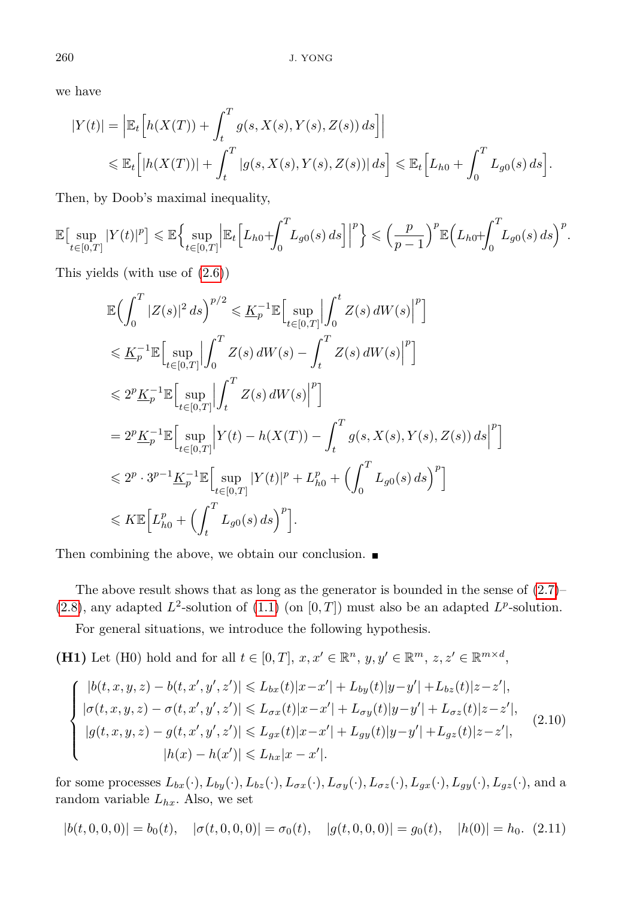we have

$$
|Y(t)| = \left| \mathbb{E}_t \Big[ h(X(T)) + \int_t^T g(s, X(s), Y(s), Z(s)) ds \Big] \right|
$$
  

$$
\leq \mathbb{E}_t \Big[ |h(X(T))| + \int_t^T |g(s, X(s), Y(s), Z(s))| ds \Big] \leq \mathbb{E}_t \Big[ L_{h0} + \int_0^T L_{g0}(s) ds \Big].
$$

Then, by Doob's maximal inequality,

$$
\mathbb{E}\big[\sup_{t\in[0,T]}|Y(t)|^p\big]\leqslant \mathbb{E}\Big\{\sup_{t\in[0,T]}\Big|\mathbb{E}_t\Big[L_{h0}+\int_0^TL_{g0}(s)\,ds\Big]\Big|^p\Big\}\leqslant\Big(\frac{p}{p-1}\Big)^p\mathbb{E}\Big(L_{h0}+\int_0^TL_{g0}(s)\,ds\Big)^p.
$$

This yields (with use of [\(2.6\)](#page-4-0))

$$
\mathbb{E}\Big(\int_{0}^{T}|Z(s)|^{2}ds\Big)^{p/2} \leq \underline{K}_{p}^{-1}\mathbb{E}\Big[\sup_{t\in[0,T]}\Big|\int_{0}^{t}Z(s)\,dW(s)\Big|^{p}\Big] \leq \underline{K}_{p}^{-1}\mathbb{E}\Big[\sup_{t\in[0,T]}\Big|\int_{0}^{T}Z(s)\,dW(s)-\int_{t}^{T}Z(s)\,dW(s)\Big|^{p}\Big] \leq 2^{p}\underline{K}_{p}^{-1}\mathbb{E}\Big[\sup_{t\in[0,T]}\Big|\int_{t}^{T}Z(s)\,dW(s)\Big|^{p}\Big] \n= 2^{p}\underline{K}_{p}^{-1}\mathbb{E}\Big[\sup_{t\in[0,T]}\Big|Y(t)-h(X(T))-\int_{t}^{T}g(s,X(s),Y(s),Z(s))\,ds\Big|^{p}\Big] \leq 2^{p}\cdot3^{p-1}\underline{K}_{p}^{-1}\mathbb{E}\Big[\sup_{t\in[0,T]}|Y(t)|^{p}+L_{h0}^{p}+\Big(\int_{0}^{T}L_{g0}(s)\,ds\Big)^{p}\Big] \leqslant K\mathbb{E}\Big[L_{h0}^{p}+\Big(\int_{t}^{T}L_{g0}(s)\,ds\Big)^{p}\Big].
$$

Then combining the above, we obtain our conclusion.  $\blacksquare$ 

The above result shows that as long as the generator is bounded in the sense of  $(2.7)$ –  $(2.8)$ , any adapted  $L^2$ -solution of  $(1.1)$  (on  $[0, T]$ ) must also be an adapted  $L^p$ -solution.

<span id="page-5-0"></span>For general situations, we introduce the following hypothesis.

**(H1)** Let (H0) hold and for all  $t \in [0, T]$ ,  $x, x' \in \mathbb{R}^n$ ,  $y, y' \in \mathbb{R}^m$ ,  $z, z' \in \mathbb{R}^{m \times d}$ ,

$$
\begin{cases} |b(t, x, y, z) - b(t, x', y', z')| \leq L_{bx}(t)|x - x'| + L_{by}(t)|y - y'| + L_{bz}(t)|z - z'|, \\ |\sigma(t, x, y, z) - \sigma(t, x', y', z')| \leq L_{\sigma x}(t)|x - x'| + L_{\sigma y}(t)|y - y'| + L_{\sigma z}(t)|z - z'|, \\ |g(t, x, y, z) - g(t, x', y', z')| \leq L_{gx}(t)|x - x'| + L_{gy}(t)|y - y'| + L_{gz}(t)|z - z'|, \\ |h(x) - h(x')| \leq L_{hx}|x - x'|. \end{cases} (2.10)
$$

for some processes  $L_{bx}(\cdot), L_{by}(\cdot), L_{bz}(\cdot), L_{\sigma x}(\cdot), L_{\sigma y}(\cdot), L_{\sigma z}(\cdot), L_{gx}(\cdot), L_{gy}(\cdot), L_{gz}(\cdot)$ , and a random variable  $L_{hx}$ . Also, we set

$$
|b(t,0,0,0)| = b_0(t), \quad |\sigma(t,0,0,0)| = \sigma_0(t), \quad |g(t,0,0,0)| = g_0(t), \quad |h(0)| = h_0. \tag{2.11}
$$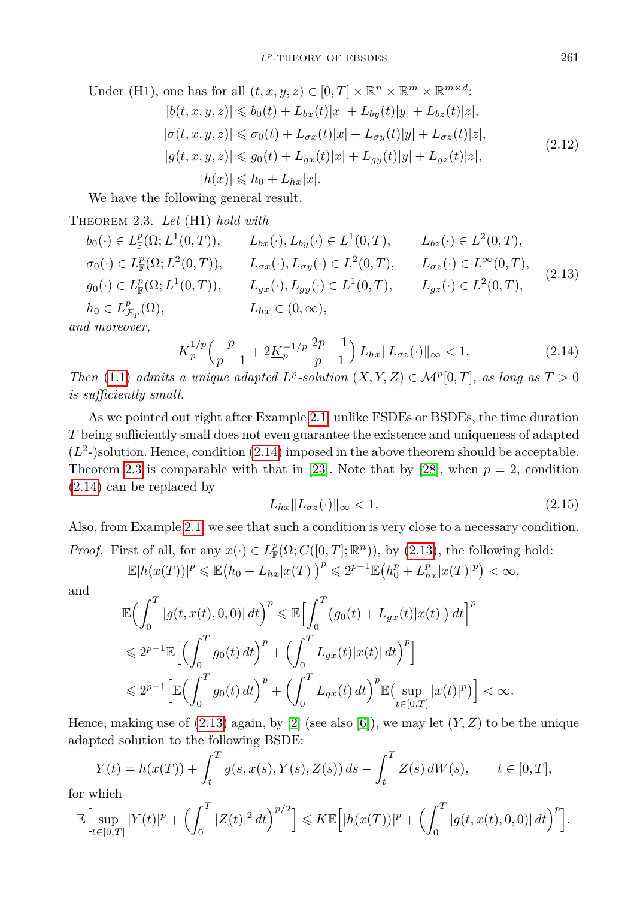<span id="page-6-3"></span>Under (H1), one has for all  $(t, x, y, z) \in [0, T] \times \mathbb{R}^n \times \mathbb{R}^m \times \mathbb{R}^{m \times d}$ :  $|b(t, x, y, z)| \leq b_0(t) + L_{bx}(t)|x| + L_{by}(t)|y| + L_{bz}(t)|z|,$  $|\sigma(t, x, y, z)| \leq \sigma_0(t) + L_{\sigma x}(t)|x| + L_{\sigma y}(t)|y| + L_{\sigma z}(t)|z|,$  $|g(t, x, y, z)| \leq g_0(t) + L_{gx}(t)|x| + L_{gy}(t)|y| + L_{gz}(t)|z|,$  $|h(x)| \le h_0 + L_{hr}|x|$ . (2.12)

We have the following general result.

<span id="page-6-1"></span>Theorem 2.3. *Let* (H1) *hold with*

$$
b_0(\cdot) \in L^p_{\mathbb{F}}(\Omega; L^1(0, T)), \qquad L_{bx}(\cdot), L_{by}(\cdot) \in L^1(0, T), \qquad L_{bz}(\cdot) \in L^2(0, T),
$$
  
\n
$$
\sigma_0(\cdot) \in L^p_{\mathbb{F}}(\Omega; L^2(0, T)), \qquad L_{\sigma x}(\cdot), L_{\sigma y}(\cdot) \in L^2(0, T), \qquad L_{\sigma z}(\cdot) \in L^{\infty}(0, T),
$$
  
\n
$$
g_0(\cdot) \in L^p_{\mathbb{F}}(\Omega; L^1(0, T)), \qquad L_{gx}(\cdot), L_{gy}(\cdot) \in L^1(0, T), \qquad L_{gz}(\cdot) \in L^2(0, T),
$$
  
\n
$$
h_0 \in L^p_{\mathcal{F}_T}(\Omega), \qquad L_{hx} \in (0, \infty),
$$
  
\nd moreover  
\n
$$
d_{\text{nonreover}}
$$

*and moreover,*

<span id="page-6-2"></span><span id="page-6-0"></span>
$$
\overline{K}_p^{1/p} \left( \frac{p}{p-1} + 2\underline{K}_p^{-1/p} \, \frac{2p-1}{p-1} \right) L_{hx} \| L_{\sigma z}(\cdot) \|_{\infty} < 1. \tag{2.14}
$$

*Then* [\(1.1\)](#page-0-0) *admits a unique adapted*  $L^p$ -solution  $(X, Y, Z) \in M^p[0, T]$ *, as long as*  $T > 0$ *is sufficiently small.*

As we pointed out right after Example [2.1,](#page-2-2) unlike FSDEs or BSDEs, the time duration *T* being sufficiently small does not even guarantee the existence and uniqueness of adapted  $(L^2)$ solution. Hence, condition  $(2.14)$  imposed in the above theorem should be acceptable. Theorem [2.3](#page-6-1) is comparable with that in [\[23\]](#page-31-5). Note that by [\[28\]](#page-31-1), when  $p = 2$ , condition [\(2.14\)](#page-6-0) can be replaced by

$$
L_{hx} \| L_{\sigma z}(\cdot) \|_{\infty} < 1. \tag{2.15}
$$

Also, from Example [2.1,](#page-2-2) we see that such a condition is very close to a necessary condition. *Proof.* First of all, for any  $x(\cdot) \in L^p_{\mathbb{F}}(\Omega; C([0,T]; \mathbb{R}^n))$ , by [\(2.13\)](#page-6-2), the following hold:  $\mathbb{E}|h(x(T))|^p \le \mathbb{E}(h_0 + L_{hx}|x(T)|)^p \le 2^{p-1}\mathbb{E}(h_0^p + L_{hx}^p|x(T)|^p) < \infty,$ 

and

$$
\mathbb{E}\left(\int_0^T |g(t,x(t),0,0)| dt\right)^p \leq \mathbb{E}\left[\int_0^T (g_0(t) + L_{gx}(t)|x(t)|) dt\right]^p
$$
  
\n
$$
\leq 2^{p-1} \mathbb{E}\left[\left(\int_0^T g_0(t) dt\right)^p + \left(\int_0^T L_{gx}(t)|x(t)| dt\right)^p\right]
$$
  
\n
$$
\leq 2^{p-1} \left[\mathbb{E}\left(\int_0^T g_0(t) dt\right)^p + \left(\int_0^T L_{gx}(t) dt\right)^p \mathbb{E}\left(\sup_{t \in [0,T]} |x(t)|^p\right)\right] < \infty.
$$

Hence, making use of  $(2.13)$  again, by [\[2\]](#page-30-7) (see also [\[6\]](#page-30-8)), we may let  $(Y, Z)$  to be the unique adapted solution to the following BSDE:

$$
Y(t) = h(x(T)) + \int_{t}^{T} g(s, x(s), Y(s), Z(s)) ds - \int_{t}^{T} Z(s) dW(s), \qquad t \in [0, T],
$$
  
which

for which

$$
\mathbb{E}\Big[\sup_{t\in[0,T]}|Y(t)|^p+\Big(\int_0^T|Z(t)|^2\,dt\Big)^{p/2}\Big]\leqslant K\mathbb{E}\Big[|h(x(T))|^p+\Big(\int_0^T|g(t,x(t),0,0)|\,dt\Big)^p\Big].
$$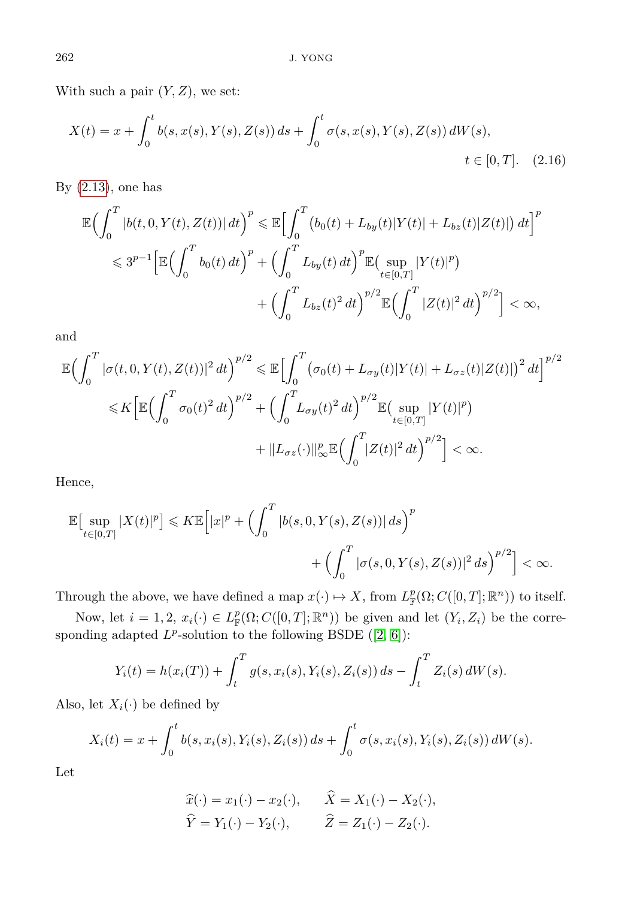With such a pair  $(Y, Z)$ , we set:

$$
X(t) = x + \int_0^t b(s, x(s), Y(s), Z(s)) ds + \int_0^t \sigma(s, x(s), Y(s), Z(s)) dW(s),
$$
  
 $t \in [0, T].$  (2.16)

By  $(2.13)$ , one has

$$
\mathbb{E}\Big(\int_{0}^{T} |b(t,0,Y(t),Z(t))| dt\Big)^{p} \leq \mathbb{E}\Big[\int_{0}^{T} (b_{0}(t) + L_{by}(t)|Y(t)| + L_{bz}(t)|Z(t)|) dt\Big]^{p}
$$
  

$$
\leq 3^{p-1} \Big[\mathbb{E}\Big(\int_{0}^{T} b_{0}(t) dt\Big)^{p} + \Big(\int_{0}^{T} L_{by}(t) dt\Big)^{p} \mathbb{E}\Big(\sup_{t \in [0,T]} |Y(t)|^{p}\Big)
$$
  

$$
+ \Big(\int_{0}^{T} L_{bz}(t)^{2} dt\Big)^{p/2} \mathbb{E}\Big(\int_{0}^{T} |Z(t)|^{2} dt\Big)^{p/2}\Big] < \infty,
$$

and

$$
\mathbb{E}\left(\int_0^T |\sigma(t,0,Y(t),Z(t))|^2 dt\right)^{p/2} \leq \mathbb{E}\left[\int_0^T (\sigma_0(t) + L_{\sigma y}(t)|Y(t)| + L_{\sigma z}(t)|Z(t)|)^2 dt\right]^{p/2}
$$
  

$$
\leq K \left[\mathbb{E}\left(\int_0^T \sigma_0(t)^2 dt\right)^{p/2} + \left(\int_0^T L_{\sigma y}(t)^2 dt\right)^{p/2} \mathbb{E}\left(\sup_{t\in[0,T]} |Y(t)|^p\right)
$$
  

$$
+ \|L_{\sigma z}(\cdot)\|_{\infty}^p \mathbb{E}\left(\int_0^T |Z(t)|^2 dt\right)^{p/2}\right] < \infty.
$$

Hence,

$$
\mathbb{E}\left[\sup_{t\in[0,T]}|X(t)|^p\right] \leqslant K \mathbb{E}\left[|x|^p + \left(\int_0^T |b(s,0,Y(s),Z(s))|ds\right)^p + \left(\int_0^T |\sigma(s,0,Y(s),Z(s))|^2 ds\right)^{p/2}\right] < \infty.
$$

Through the above, we have defined a map  $x(\cdot) \mapsto X$ , from  $L^p_{\mathbb{F}}(\Omega; C([0,T]; \mathbb{R}^n))$  to itself.

Now, let  $i = 1, 2, x_i(\cdot) \in L^p_{\mathbb{F}}(\Omega; C([0,T]; \mathbb{R}^n))$  be given and let  $(Y_i, Z_i)$  be the corresponding adapted  $L^p$ -solution to the following BSDE  $([2, 6])$  $([2, 6])$  $([2, 6])$  $([2, 6])$ :

$$
Y_i(t) = h(x_i(T)) + \int_t^T g(s, x_i(s), Y_i(s), Z_i(s)) ds - \int_t^T Z_i(s) dW(s).
$$

Also, let  $X_i(\cdot)$  be defined by

$$
X_i(t) = x + \int_0^t b(s, x_i(s), Y_i(s), Z_i(s)) ds + \int_0^t \sigma(s, x_i(s), Y_i(s), Z_i(s)) dW(s).
$$

Let

$$
\widehat{x}(\cdot) = x_1(\cdot) - x_2(\cdot), \qquad \widehat{X} = X_1(\cdot) - X_2(\cdot),
$$
  

$$
\widehat{Y} = Y_1(\cdot) - Y_2(\cdot), \qquad \widehat{Z} = Z_1(\cdot) - Z_2(\cdot).
$$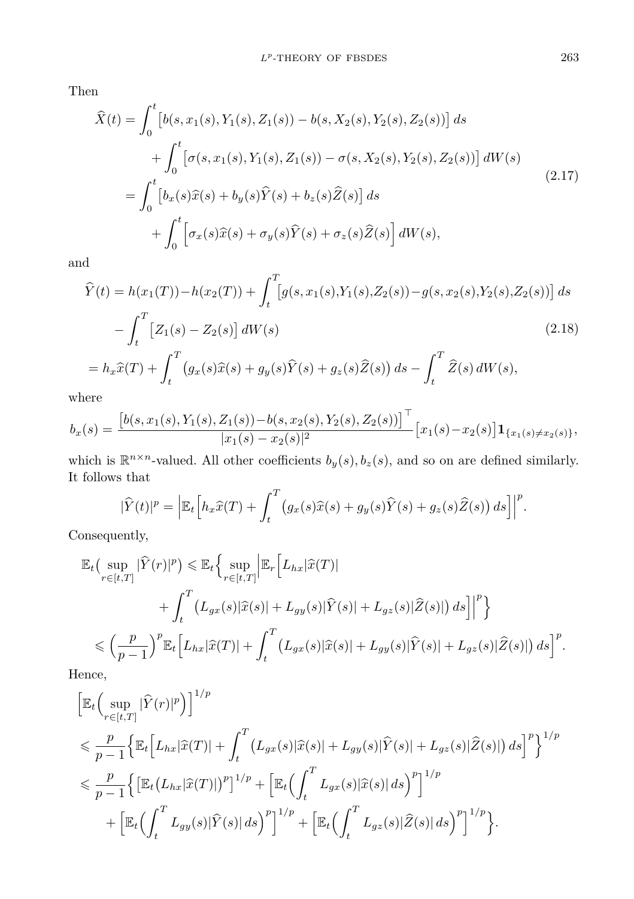Then

<span id="page-8-0"></span>
$$
\widehat{X}(t) = \int_0^t \left[ b(s, x_1(s), Y_1(s), Z_1(s)) - b(s, X_2(s), Y_2(s), Z_2(s)) \right] ds \n+ \int_0^t \left[ \sigma(s, x_1(s), Y_1(s), Z_1(s)) - \sigma(s, X_2(s), Y_2(s), Z_2(s)) \right] dW(s) \n= \int_0^t \left[ b_x(s)\widehat{x}(s) + b_y(s)\widehat{Y}(s) + b_z(s)\widehat{Z}(s) \right] ds \n+ \int_0^t \left[ \sigma_x(s)\widehat{x}(s) + \sigma_y(s)\widehat{Y}(s) + \sigma_z(s)\widehat{Z}(s) \right] dW(s),
$$
\n(2.17)

and

$$
\widehat{Y}(t) = h(x_1(T)) - h(x_2(T)) + \int_t^T [g(s, x_1(s), Y_1(s), Z_2(s)) - g(s, x_2(s), Y_2(s), Z_2(s))] ds \n- \int_t^T [Z_1(s) - Z_2(s)] dW(s) \qquad (2.18)
$$
\n
$$
= h_x \widehat{x}(T) + \int_t^T (g_x(s)\widehat{x}(s) + g_y(s)\widehat{Y}(s) + g_z(s)\widehat{Z}(s)) ds - \int_t^T \widehat{Z}(s) dW(s),
$$

where

$$
b_x(s) = \frac{\left[b(s, x_1(s), Y_1(s), Z_1(s)) - b(s, x_2(s), Y_2(s), Z_2(s))\right]^{\top}}{|x_1(s) - x_2(s)|^2} [x_1(s) - x_2(s)] \mathbf{1}_{\{x_1(s) \neq x_2(s)\}},
$$

which is  $\mathbb{R}^{n \times n}$ -valued. All other coefficients  $b_y(s), b_z(s)$ , and so on are defined similarly. It follows that

$$
|\widehat{Y}(t)|^p = \left| \mathbb{E}_t \left[ h_x \widehat{x}(T) + \int_t^T \left( g_x(s)\widehat{x}(s) + g_y(s)\widehat{Y}(s) + g_z(s)\widehat{Z}(s) \right) ds \right] \right|^p.
$$

Consequently,

$$
\mathbb{E}_{t}\left(\sup_{r\in[t,T]}|\widehat{Y}(r)|^{p}\right) \leq \mathbb{E}_{t}\left\{\sup_{r\in[t,T]} \left|\mathbb{E}_{r}\left[L_{hx}|\widehat{x}(T)|\right.\right.\left.\left.+ \int_{t}^{T}\left(L_{gx}(s)|\widehat{x}(s)|+L_{gy}(s)|\widehat{Y}(s)|+L_{gz}(s)|\widehat{Z}(s)|\right)ds\right]\right|^{p}\right\}
$$
\n
$$
\leq \left(\frac{p}{p-1}\right)^{p}\mathbb{E}_{t}\left[L_{hx}|\widehat{x}(T)|+\int_{t}^{T}\left(L_{gx}(s)|\widehat{x}(s)|+L_{gy}(s)|\widehat{Y}(s)|+L_{gz}(s)|\widehat{Z}(s)|\right)ds\right]^{p}.
$$
\nwhere

Hence,

$$
\begin{split}\n&\left[\mathbb{E}_{t}\left(\sup_{r\in[t,T]}|\hat{Y}(r)|^{p}\right)\right]^{1/p} \\
&\leq \frac{p}{p-1}\Big\{\mathbb{E}_{t}\Big[L_{hx}|\hat{x}(T)|+\int_{t}^{T}\left(L_{gx}(s)|\hat{x}(s)|+L_{gy}(s)|\hat{Y}(s)|+L_{gz}(s)|\hat{Z}(s)|\right)ds\Big]^{p}\Big\}^{1/p} \\
&\leq \frac{p}{p-1}\Big\{\big[\mathbb{E}_{t}\big(L_{hx}|\hat{x}(T)|\big)^{p}\big]^{1/p}+\big[\mathbb{E}_{t}\Big(\int_{t}^{T}L_{gx}(s)|\hat{x}(s)|ds\Big)^{p}\big]^{1/p} \\
&+\big[\mathbb{E}_{t}\Big(\int_{t}^{T}L_{gy}(s)|\hat{Y}(s)|ds\Big)^{p}\big]^{1/p}+\big[\mathbb{E}_{t}\Big(\int_{t}^{T}L_{gz}(s)|\hat{Z}(s)|ds\Big)^{p}\big]^{1/p}\Big\}.\n\end{split}
$$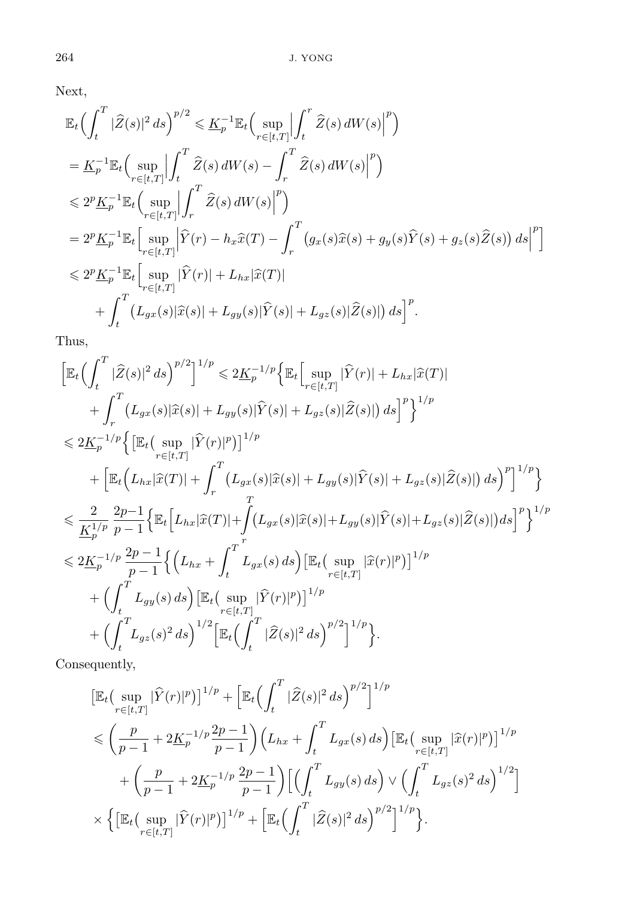Next,

$$
\mathbb{E}_{t}\left(\int_{t}^{T}|\widehat{Z}(s)|^{2}ds\right)^{p/2} \leq \underline{K}_{p}^{-1}\mathbb{E}_{t}\left(\sup_{r\in[t,T]}\Big|\int_{t}^{r}\widehat{Z}(s)\,dW(s)\Big|^{p}\right)
$$
\n
$$
=\underline{K}_{p}^{-1}\mathbb{E}_{t}\left(\sup_{r\in[t,T]}\Big|\int_{t}^{T}\widehat{Z}(s)\,dW(s)-\int_{r}^{T}\widehat{Z}(s)\,dW(s)\Big|^{p}\right)
$$
\n
$$
\leq 2^{p}\underline{K}_{p}^{-1}\mathbb{E}_{t}\left(\sup_{r\in[t,T]}\Big|\int_{r}^{T}\widehat{Z}(s)\,dW(s)\Big|^{p}\right)
$$
\n
$$
=2^{p}\underline{K}_{p}^{-1}\mathbb{E}_{t}\left[\sup_{r\in[t,T]}\Big|\widehat{Y}(r)-h_{x}\widehat{x}(T)-\int_{r}^{T}\big(g_{x}(s)\widehat{x}(s)+g_{y}(s)\widehat{Y}(s)+g_{z}(s)\widehat{Z}(s)\big)\,ds\Big|^{p}\right]
$$
\n
$$
\leq 2^{p}\underline{K}_{p}^{-1}\mathbb{E}_{t}\left[\sup_{r\in[t,T]}\Big|\widehat{Y}(r)|+L_{hx}|\widehat{x}(T)|\Big|
$$
\n
$$
+\int_{t}^{T}\big(L_{gx}(s)|\widehat{x}(s)|+L_{gy}(s)|\widehat{Y}(s)|+L_{gz}(s)|\widehat{Z}(s)|\big)\,ds\Big]^{p}.
$$

Thus,

$$
\begin{split}\n&\left[\mathbb{E}_{t}\left(\int_{t}^{T}|\widehat{Z}(s)|^{2}ds\right)^{p/2}\right]^{1/p} \leq 2\underline{K}_{p}^{-1/p}\left\{\mathbb{E}_{t}\left[\sup_{r\in[t,T]}|\widehat{Y}(r)|+L_{hx}|\widehat{x}(T)|\right.\\&\left.+\int_{r}^{T}\left(L_{gx}(s)|\widehat{x}(s)|+L_{gy}(s)|\widehat{Y}(s)|+L_{gz}(s)|\widehat{Z}(s)|\right)ds\right]^{p}\right\}^{1/p} \\
&\leq 2\underline{K}_{p}^{-1/p}\left\{\left[\mathbb{E}_{t}\left(\sup_{r\in[t,T]}|\widehat{Y}(r)|^{p}\right)\right]^{1/p} \\&+\left[\mathbb{E}_{t}\left(L_{hx}|\widehat{x}(T)|+\int_{r}^{T}\left(L_{gx}(s)|\widehat{x}(s)|+L_{gy}(s)|\widehat{Y}(s)|+L_{gz}(s)|\widehat{Z}(s)|\right)ds\right)^{p}\right]^{1/p}\right\} \\
&\leq \frac{2}{K_{p}^{1/p}}\frac{2p-1}{p-1}\left\{\mathbb{E}_{t}\left[L_{hx}|\widehat{x}(T)|+\int_{r}^{T}\left(L_{gx}(s)|\widehat{x}(s)|+L_{gy}(s)|\widehat{Y}(s)|+L_{gz}(s)|\widehat{Z}(s)|\right)ds\right]^{p}\right\}^{1/p} \\
&\leq 2\underline{K}_{p}^{-1/p}\frac{2p-1}{p-1}\left\{\left(L_{hx}+\int_{t}^{T}\left(L_{gx}(s)\,ds\right)\left[\mathbb{E}_{t}\left(\sup_{r\in[t,T]}|\widehat{x}(r)|^{p}\right)\right]^{1/p} \\&+\left(\int_{t}^{T}\left(L_{gy}(s)\,ds\right)\left[\mathbb{E}_{t}\left(\sup_{r\in[t,T]}\left|\widehat{Y}(r)|^{p}\right)\right]^{1/p} \\&+\left(\int_{t}^{T}\left(L_{gz}(s)^{2}\,ds\right)^{1/2}\left[\mathbb{E}_{t}\left(\int_{t}^{T}|\widehat{Z}(s)|^{2}\,ds\right)^{p/2}\right]^{1/p}\right\}.\n\end{split}
$$

Consequently,

$$
\begin{split} & \left[\mathbb{E}_{t} \left(\sup_{r \in [t,T]} |\hat{Y}(r)|^{p}\right)\right]^{1/p} + \left[\mathbb{E}_{t} \left(\int_{t}^{T} |\hat{Z}(s)|^{2} ds\right)^{p/2}\right]^{1/p} \\ & \leqslant \left(\frac{p}{p-1} + 2\underline{K}_{p}^{-1/p} \frac{2p-1}{p-1}\right) \left(L_{hx} + \int_{t}^{T} L_{gx}(s) ds\right) \left[\mathbb{E}_{t} \left(\sup_{r \in [t,T]} |\hat{x}(r)|^{p}\right)\right]^{1/p} \\ & \quad + \left(\frac{p}{p-1} + 2\underline{K}_{p}^{-1/p} \frac{2p-1}{p-1}\right) \left[\left(\int_{t}^{T} L_{gy}(s) ds\right) \vee \left(\int_{t}^{T} L_{gz}(s)^{2} ds\right)^{1/2}\right] \\ & \quad \times \left\{\left[\mathbb{E}_{t} \left(\sup_{r \in [t,T]} |\hat{Y}(r)|^{p}\right)\right]^{1/p} + \left[\mathbb{E}_{t} \left(\int_{t}^{T} |\hat{Z}(s)|^{2} ds\right)^{p/2}\right]^{1/p}\right\}. \end{split}
$$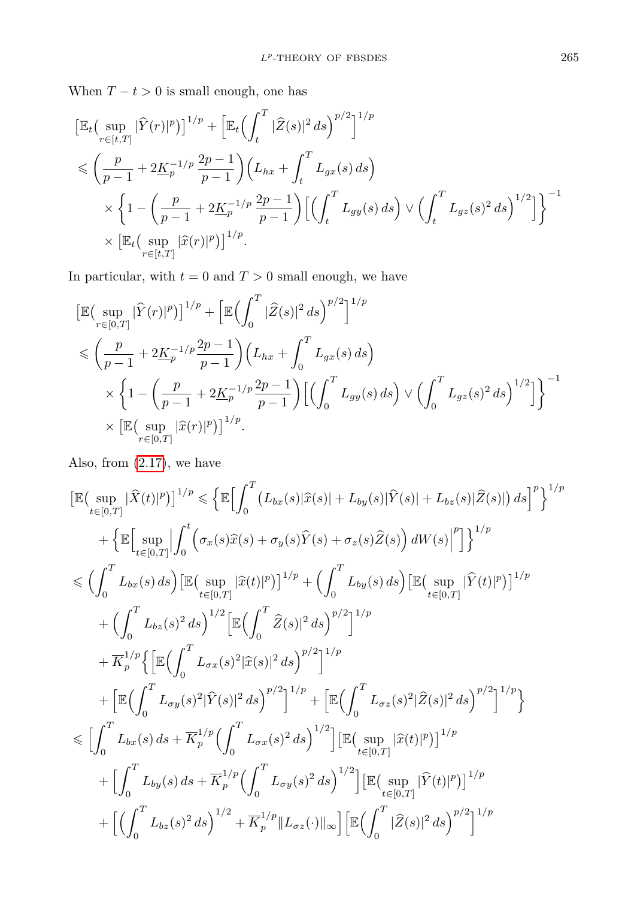When  $T - t > 0$  is small enough, one has

$$
\begin{split} & \left[ \mathbb{E}_t \Big( \sup_{r \in [t,T]} |\widehat{Y}(r)|^p \Big) \right]^{1/p} + \left[ \mathbb{E}_t \Big( \int_t^T |\widehat{Z}(s)|^2 \, ds \Big)^{p/2} \right]^{1/p} \\ & \leqslant \left( \frac{p}{p-1} + 2\underline{K}_p^{-1/p} \frac{2p-1}{p-1} \right) \Big( L_{hx} + \int_t^T L_{gx}(s) \, ds \Big) \\ & \times \left\{ 1 - \left( \frac{p}{p-1} + 2\underline{K}_p^{-1/p} \frac{2p-1}{p-1} \right) \Big[ \Big( \int_t^T L_{gy}(s) \, ds \Big) \vee \Big( \int_t^T L_{gz}(s)^2 \, ds \Big)^{1/2} \Big] \right\}^{-1} \\ & \times \left[ \mathbb{E}_t \Big( \sup_{r \in [t,T]} |\widehat{x}(r)|^p \Big) \right]^{1/p}. \end{split}
$$

In particular, with  $t = 0$  and  $T > 0$  small enough, we have

$$
\begin{split} & \left[ \mathbb{E} \big( \sup_{r \in [0,T]} |\hat{Y}(r)|^p \big) \right]^{1/p} + \left[ \mathbb{E} \big( \int_0^T |\hat{Z}(s)|^2 \, ds \big)^{p/2} \right]^{1/p} \\ & \leqslant \left( \frac{p}{p-1} + 2\underline{K}_p^{-1/p} \frac{2p-1}{p-1} \right) \left( L_{hx} + \int_0^T L_{gx}(s) \, ds \right) \\ & \times \left\{ 1 - \left( \frac{p}{p-1} + 2\underline{K}_p^{-1/p} \frac{2p-1}{p-1} \right) \left[ \left( \int_0^T L_{gy}(s) \, ds \right) \vee \left( \int_0^T L_{gz}(s)^2 \, ds \right)^{1/2} \right] \right\}^{-1} \\ & \times \left[ \mathbb{E} \big( \sup_{r \in [0,T]} |\hat{x}(r)|^p \big) \right]^{1/p} . \end{split}
$$

Also, from [\(2.17\)](#page-8-0), we have

$$
\begin{split}\n&\left[\mathbb{E}\left(\sup_{t\in[0,T]}|\widehat{X}(t)|^{p}\right)\right]^{1/p} \leq \left\{\mathbb{E}\Big[\int_{0}^{T}\left(L_{bx}(s)|\widehat{x}(s)|+L_{by}(s)|\widehat{Y}(s)|+L_{bz}(s)|\widehat{Z}(s)|\right)ds\Big]^{p}\right\}^{1/p} \\
&+ \left\{\mathbb{E}\Big[\sup_{t\in[0,T]}|\int_{0}^{t}\left(\sigma_{x}(s)\widehat{x}(s)+\sigma_{y}(s)\widehat{Y}(s)+\sigma_{z}(s)\widehat{Z}(s)\right)dW(s)|^{p}|\Big]\right\}^{1/p} \\
&\leq \left(\int_{0}^{T}L_{bx}(s)\,ds\right)\left[\mathbb{E}\Big(\sup_{t\in[0,T]}|\widehat{x}(t)|^{p}\Big)\right]^{1/p} + \left(\int_{0}^{T}L_{by}(s)\,ds\right)\left[\mathbb{E}\Big(\sup_{t\in[0,T]}|\widehat{Y}(t)|^{p}\Big)\right]^{1/p} \\
&+ \left(\int_{0}^{T}L_{bz}(s)^{2}\,ds\right)^{1/2}\left[\mathbb{E}\Big(\int_{0}^{T}\widehat{Z}(s)|^{2}\,ds\Big)^{p/2}\right]^{1/p} \\
&+ \left[\mathbb{E}\Big(\int_{0}^{T}L_{\sigma x}(s)^{2}|\widehat{x}(s)|^{2}\,ds\Big)^{p/2}\right]^{1/p} + \left[\mathbb{E}\Big(\int_{0}^{T}L_{\sigma z}(s)^{2}|\widehat{Z}(s)|^{2}\,ds\Big)^{p/2}\right]^{1/p}\right] \\
&\leq \left[\int_{0}^{T}L_{bx}(s)\,ds + \overline{K}_{p}^{1/p}\Big(\int_{0}^{T}L_{\sigma x}(s)^{2}\,ds\Big)^{1/2}\right]\left[\mathbb{E}\Big(\sup_{t\in[0,T]}|\widehat{x}(t)|^{p}\Big)\right]^{1/p} \\
&+ \left[\int_{0}^{T}L_{bx}(s)\,ds + \overline{K}_{p}^{1/p}\Big(\int_{0}^{T}L_{\sigma x}(s)^{2}\,ds\Big)^{1/2}\right]\left[\mathbb{E}\Big(\sup_{t\in[0,T]}|\widehat{Y}(t)|^{p}\Big)\right]^{1/p} \\
&+ \left[\left(\int_{0}^{T}L_{bz}(s)^{2}\,
$$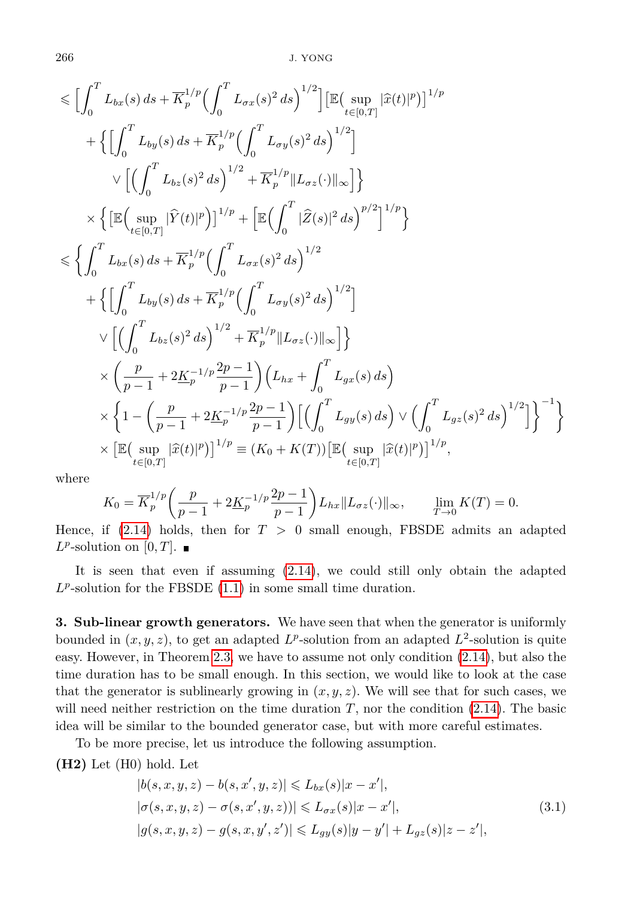266 J. YONG

$$
\leq \left[ \int_0^T L_{bx}(s) ds + \overline{K}_p^{1/p} \left( \int_0^T L_{\sigma x}(s)^2 ds \right)^{1/2} \right] \left[ \mathbb{E} \left( \sup_{t \in [0,T]} |\hat{x}(t)|^p \right) \right]^{1/p} \n+ \left\{ \left[ \int_0^T L_{by}(s) ds + \overline{K}_p^{1/p} \left( \int_0^T L_{\sigma y}(s)^2 ds \right)^{1/2} \right] \n\vee \left[ \left( \int_0^T L_{bz}(s)^2 ds \right)^{1/2} + \overline{K}_p^{1/p} \| L_{\sigma z}(\cdot) \|_{\infty} \right] \right\} \n\times \left\{ \left[ \mathbb{E} \left( \sup_{t \in [0,T]} |\hat{Y}(t)|^p \right) \right]^{1/p} + \left[ \mathbb{E} \left( \int_0^T |\hat{Z}(s)|^2 ds \right)^{p/2} \right]^{1/p} \right\} \n
$$
\leq \left\{ \int_0^T L_{bx}(s) ds + \overline{K}_p^{1/p} \left( \int_0^T L_{\sigma x}(s)^2 ds \right)^{1/2} \n+ \left\{ \left[ \int_0^T L_{by}(s) ds + \overline{K}_p^{1/p} \left( \int_0^T L_{\sigma y}(s)^2 ds \right)^{1/2} \right] \n\vee \left[ \left( \int_0^T L_{bz}(s)^2 ds \right)^{1/2} + \overline{K}_p^{1/p} \| L_{\sigma z}(\cdot) \|_{\infty} \right] \right\} \n\times \left( \frac{p}{p-1} + 2\underline{K}_p^{-1/p} \frac{2p-1}{p-1} \right) \left( L_{hx} + \int_0^T L_{gx}(s) ds \right) \n\times \left\{ 1 - \left( \frac{p}{p-1} + 2\underline{K}_p^{-1/p} \frac{2p-1}{p-1} \right) \left[ \left( \int_0^T L_{gy}(s) ds \right) \vee \left( \int_0^T L_{gz}(s)^2 ds \right)^{1/2} \right] \right\}^{-1} \right\} \n\times \left[ \mathbb{E} \left( \sup_{t \in [0,T]} |\
$$
$$

where

$$
K_0 = \overline{K}_p^{1/p} \left( \frac{p}{p-1} + 2\underline{K}_p^{-1/p} \frac{2p-1}{p-1} \right) L_{hx} \| L_{\sigma z}(\cdot) \|_{\infty}, \qquad \lim_{T \to 0} K(T) = 0.
$$

Hence, if  $(2.14)$  holds, then for  $T > 0$  small enough, FBSDE admits an adapted  $L^p$ -solution on  $[0, T]$ .

It is seen that even if assuming [\(2.14\)](#page-6-0), we could still only obtain the adapted  $L^p$ -solution for the FBSDE  $(1.1)$  in some small time duration.

**3. Sub-linear growth generators.** We have seen that when the generator is uniformly bounded in  $(x, y, z)$ , to get an adapted  $L^p$ -solution from an adapted  $L^2$ -solution is quite easy. However, in Theorem [2.3,](#page-6-1) we have to assume not only condition [\(2.14\)](#page-6-0), but also the time duration has to be small enough. In this section, we would like to look at the case that the generator is sublinearly growing in  $(x, y, z)$ . We will see that for such cases, we will need neither restriction on the time duration  $T$ , nor the condition  $(2.14)$ . The basic idea will be similar to the bounded generator case, but with more careful estimates.

To be more precise, let us introduce the following assumption.

**(H2)** Let (H0) hold. Let

$$
|b(s, x, y, z) - b(s, x', y, z)| \le L_{bx}(s)|x - x'|,
$$
  
\n
$$
|\sigma(s, x, y, z) - \sigma(s, x', y, z)| \le L_{\sigma x}(s)|x - x'|,
$$
  
\n
$$
|g(s, x, y, z) - g(s, x, y', z')| \le L_{gy}(s)|y - y'| + L_{gz}(s)|z - z'|,
$$
\n(3.1)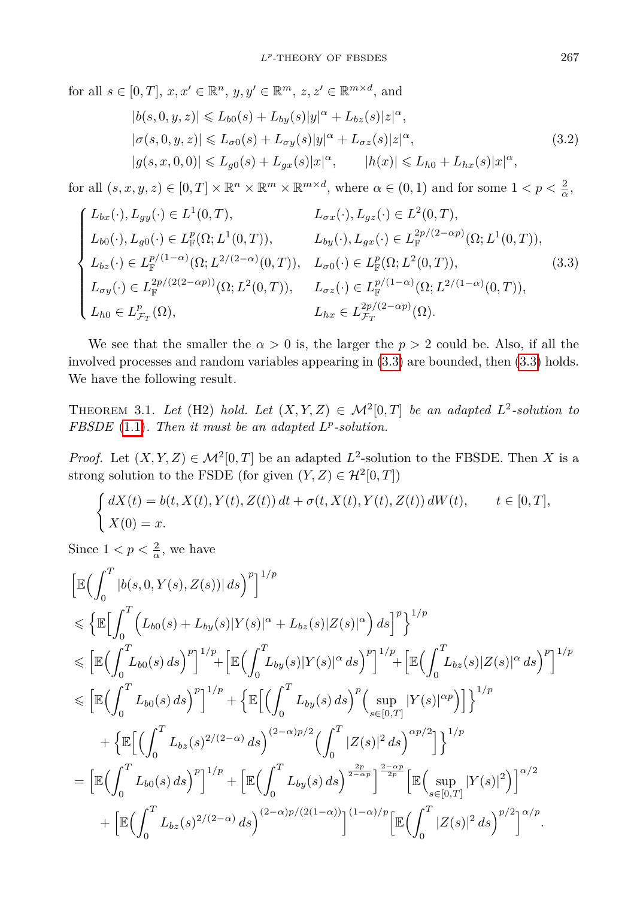for all  $s \in [0, T], x, x' \in \mathbb{R}^n, y, y' \in \mathbb{R}^m, z, z' \in \mathbb{R}^{m \times d}$ , and  $|b(s, 0, y, z)| \leq L_{b0}(s) + L_{by}(s)|y|^{\alpha} + L_{bz}(s)|z|^{\alpha},$  $|\sigma(s, 0, y, z)| \le L_{\sigma 0}(s) + L_{\sigma y}(s)|y|^{\alpha} + L_{\sigma z}(s)|z|^{\alpha},$  $|g(s, x, 0, 0)| \leq L_{g0}(s) + L_{gx}(s)|x|^{\alpha}, \qquad |h(x)| \leq L_{h0} + L_{hx}(s)|x|^{\alpha},$ (3.2)

for all  $(s, x, y, z) \in [0, T] \times \mathbb{R}^n \times \mathbb{R}^m \times \mathbb{R}^{m \times d}$ , where  $\alpha \in (0, 1)$  and for some  $1 < p < \frac{2}{\alpha}$ ,

<span id="page-12-0"></span>
$$
\begin{cases}\nL_{bx}(\cdot), L_{gy}(\cdot) \in L^{1}(0, T), & L_{\sigma x}(\cdot), L_{gz}(\cdot) \in L^{2}(0, T), \\
L_{b0}(\cdot), L_{g0}(\cdot) \in L_{\mathbb{F}}^{p}(\Omega; L^{1}(0, T)), & L_{by}(\cdot), L_{gx}(\cdot) \in L_{\mathbb{F}}^{2p/(2-\alpha p)}(\Omega; L^{1}(0, T)), \\
L_{bz}(\cdot) \in L_{\mathbb{F}}^{p/(1-\alpha)}(\Omega; L^{2/(2-\alpha)}(0, T)), & L_{\sigma 0}(\cdot) \in L_{\mathbb{F}}^{p}(\Omega; L^{2}(0, T)), \\
L_{\sigma y}(\cdot) \in L_{\mathbb{F}}^{2p/(2(2-\alpha p))}(\Omega; L^{2}(0, T)), & L_{\sigma z}(\cdot) \in L_{\mathbb{F}}^{p/(1-\alpha)}(\Omega; L^{2/(1-\alpha)}(0, T)), \\
L_{h0} \in L_{\mathcal{F}_{T}}^{p}(\Omega), & L_{hx} \in L_{\mathcal{F}_{T}}^{2p/(2-\alpha p)}(\Omega).\n\end{cases}
$$
\n(3.3)

We see that the smaller the  $\alpha > 0$  is, the larger the  $p > 2$  could be. Also, if all the involved processes and random variables appearing in [\(3.3\)](#page-12-0) are bounded, then [\(3.3\)](#page-12-0) holds. We have the following result.

THEOREM 3.1. Let (H2) hold. Let  $(X, Y, Z) \in \mathcal{M}^2[0,T]$  be an adapted  $L^2$ -solution to *FBSDE* [\(1.1\)](#page-0-0)*. Then it must be an adapted L p -solution.*

*Proof.* Let  $(X, Y, Z) \in \mathcal{M}^2[0, T]$  be an adapted  $L^2$ -solution to the FBSDE. Then *X* is a strong solution to the FSDE (for given  $(Y, Z) \in \mathcal{H}^2[0, T]$ )

$$
\begin{cases} dX(t) = b(t, X(t), Y(t), Z(t)) dt + \sigma(t, X(t), Y(t), Z(t)) dW(t), & t \in [0, T], \\ X(0) = x. & \end{cases}
$$

Since  $1 < p < \frac{2}{\alpha}$ , we have

$$
\begin{split}\n&\left[\mathbb{E}\Big(\int_{0}^{T}|b(s,0,Y(s),Z(s))|\,ds\Big)^{p}\right]^{1/p} \\
&\leqslant \left\{\mathbb{E}\Big[\int_{0}^{T}\Big(L_{b0}(s)+L_{by}(s)|Y(s)|^{\alpha}+L_{bz}(s)|Z(s)|^{\alpha}\Big)\,ds\Big]^{p}\right\}^{1/p} \\
&\leqslant \left[\mathbb{E}\Big(\int_{0}^{T}L_{b0}(s)\,ds\Big)^{p}\right]^{1/p}+\left[\mathbb{E}\Big(\int_{0}^{T}L_{by}(s)|Y(s)|^{\alpha}\,ds\Big)^{p}\right]^{1/p}+\left[\mathbb{E}\Big(\int_{0}^{T}L_{bz}(s)|Z(s)|^{\alpha}\,ds\Big)^{p}\right]^{1/p} \\
&\leqslant \left[\mathbb{E}\Big(\int_{0}^{T}L_{b0}(s)\,ds\Big)^{p}\right]^{1/p}+\left\{\mathbb{E}\Big[\Big(\int_{0}^{T}L_{by}(s)\,ds\Big)^{p}\Big(\sup_{s\in[0,T]}|Y(s)|^{\alpha p}\Big)\Big]\right\}^{1/p} \\
&+\left\{\mathbb{E}\Big[\Big(\int_{0}^{T}L_{bz}(s)^{2/(2-\alpha)}\,ds\Big)^{(2-\alpha)p/2}\Big(\int_{0}^{T}|Z(s)|^{2}\,ds\Big)^{\alpha p/2}\Big]\right\}^{1/p} \\
&=\left[\mathbb{E}\Big(\int_{0}^{T}L_{b0}(s)\,ds\Big)^{p}\right]^{1/p}+\left[\mathbb{E}\Big(\int_{0}^{T}L_{by}(s)\,ds\Big)^{\frac{2p}{2-\alpha p}}\right]^{\frac{2-\alpha p}{2p}}\left[\mathbb{E}\Big(\sup_{s\in[0,T]}|Y(s)|^{2}\Big)\right]^{\alpha/2} \\
&+\left[\mathbb{E}\Big(\int_{0}^{T}L_{bz}(s)^{2/(2-\alpha)}\,ds\Big)^{(2-\alpha)p/(2(1-\alpha))}\Big]^{(1-\alpha)/p}\left[\mathbb{E}\Big(\int_{0}^{T}|Z(s)|^{2}\,ds\Big)^{p/2}\right]^{\alpha/p}.\n\end{split}
$$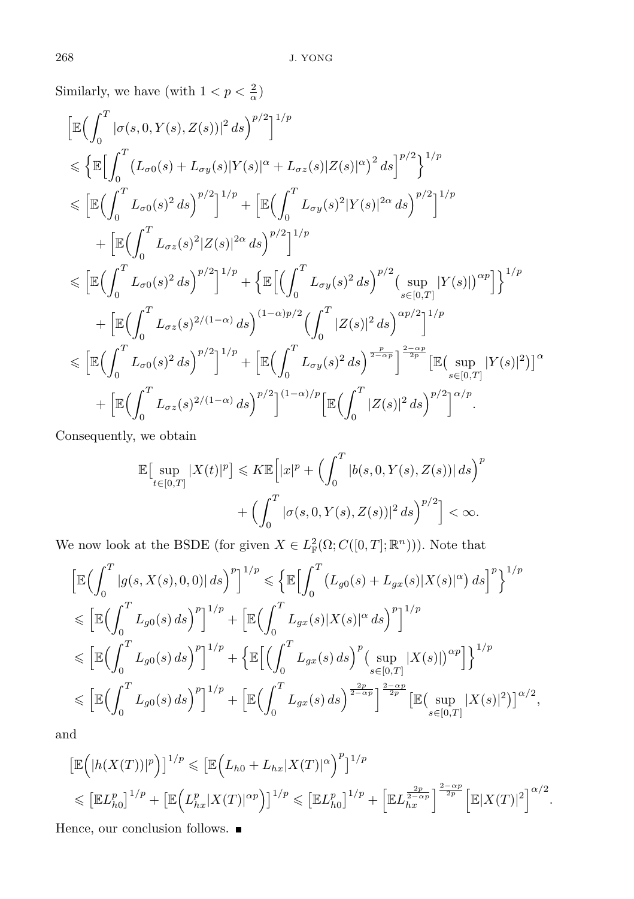Similarly, we have (with  $1 < p < \frac{2}{\alpha}$ )

$$
\begin{split}\n&\left[\mathbb{E}\Big(\int_{0}^{T}|\sigma(s,0,Y(s),Z(s))|^{2}ds\Big)^{p/2}\right]^{1/p} \\
&\leq \left\{\mathbb{E}\Big[\int_{0}^{T}\big(L_{\sigma0}(s)+L_{\sigma y}(s)|Y(s)|^{\alpha}+L_{\sigma z}(s)|Z(s)|^{\alpha}\big)^{2}ds\Big]^{p/2}\right\}^{1/p} \\
&\leq \left[\mathbb{E}\Big(\int_{0}^{T}L_{\sigma0}(s)^{2}ds\Big)^{p/2}\right]^{1/p}+\left[\mathbb{E}\Big(\int_{0}^{T}L_{\sigma y}(s)^{2}|Y(s)|^{2\alpha}ds\Big)^{p/2}\right]^{1/p} \\
&+\left[\mathbb{E}\Big(\int_{0}^{T}L_{\sigma z}(s)^{2}|Z(s)|^{2\alpha}ds\Big)^{p/2}\right]^{1/p} \\
&\leq \left[\mathbb{E}\Big(\int_{0}^{T}L_{\sigma0}(s)^{2}ds\Big)^{p/2}\right]^{1/p}+\left\{\mathbb{E}\Big[\Big(\int_{0}^{T}L_{\sigma y}(s)^{2}ds\Big)^{p/2}\Big(\sup_{s\in[0,T]}|Y(s)|\Big)^{\alpha p}\Big]\right\}^{1/p} \\
&+\left[\mathbb{E}\Big(\int_{0}^{T}L_{\sigma z}(s)^{2/(1-\alpha)}ds\Big)^{(1-\alpha)p/2}\Big(\int_{0}^{T}|Z(s)|^{2}ds\Big)^{\alpha p/2}\right]^{1/p} \\
&\leq \left[\mathbb{E}\Big(\int_{0}^{T}L_{\sigma0}(s)^{2}ds\Big)^{p/2}\right]^{1/p}+\left[\mathbb{E}\Big(\int_{0}^{T}L_{\sigma y}(s)^{2}ds\Big)^{\frac{p}{2-\alpha p}}\right]^{\frac{2-\alpha p}{2p}}\left[\mathbb{E}\Big(\sup_{s\in[0,T]}|Y(s)|^{2}\Big)\right]^{\alpha} \\
&+\left[\mathbb{E}\Big(\int_{0}^{T}L_{\sigma z}(s)^{2/(1-\alpha)}ds\Big)^{p/2}\right]^{(1-\alpha)/p}\left[\mathbb{E}\Big(\int_{0}^{T}|Z(s)|^{2}ds\Big)^{p/2}\right]^{\alpha/p}.\n\end{split}
$$

Consequently, we obtain

$$
\mathbb{E}\left[\sup_{t\in[0,T]}|X(t)|^p\right] \leqslant K \mathbb{E}\left[|x|^p + \left(\int_0^T |b(s,0,Y(s),Z(s))|ds\right)^p\right] + \left(\int_0^T |\sigma(s,0,Y(s),Z(s))|^2 ds\right)^{p/2}\right] < \infty.
$$

We now look at the BSDE (for given  $X \in L^2_{\mathbb{F}}(\Omega; C([0,T]; \mathbb{R}^n))$ ). Note that

$$
\begin{split}\n&\left[\mathbb{E}\Big(\int_{0}^{T}|g(s,X(s),0,0)|ds\Big)^{p}\right]^{1/p} \leq \left\{\mathbb{E}\Big[\int_{0}^{T}\big(L_{g0}(s)+L_{gx}(s)|X(s)|^{\alpha}\big)ds\Big]^{p}\right\}^{1/p} \\
&\leq \left[\mathbb{E}\Big(\int_{0}^{T}L_{g0}(s)ds\Big)^{p}\right]^{1/p} + \left[\mathbb{E}\Big(\int_{0}^{T}L_{gx}(s)|X(s)|^{\alpha}ds\Big)^{p}\right]^{1/p} \\
&\leq \left[\mathbb{E}\Big(\int_{0}^{T}L_{g0}(s)ds\Big)^{p}\right]^{1/p} + \left\{\mathbb{E}\Big[\Big(\int_{0}^{T}L_{gx}(s)ds\Big)^{p}\Big(\sup_{s\in[0,T]}|X(s)|\Big)^{\alpha p}\Big]\right\}^{1/p} \\
&\leq \left[\mathbb{E}\Big(\int_{0}^{T}L_{g0}(s)ds\Big)^{p}\right]^{1/p} + \left[\mathbb{E}\Big(\int_{0}^{T}L_{gx}(s)ds\Big)^{\frac{2-p}{2-\alpha p}}\right]^{\frac{2-\alpha p}{2p}}\left[\mathbb{E}\Big(\sup_{s\in[0,T]}|X(s)|^{2}\big)\right]^{\alpha/2},\n\end{split}
$$

and

$$
\begin{split} &\left[\mathbb{E}\Big(|h(X(T))|^p\Big)\right]^{1/p} \leqslant \left[\mathbb{E}\Big(L_{h0}+L_{hx}|X(T)|^{\alpha}\Big)^p\right]^{1/p} \\ &\leqslant \left[\mathbb{E}L_{h0}^p\right]^{1/p}+\left[\mathbb{E}\Big(L_{hx}^p|X(T)|^{\alpha p}\Big)\right]^{1/p} \leqslant \left[\mathbb{E}L_{h0}^p\right]^{1/p}+\left[\mathbb{E}L_{hx}^{\frac{2p}{2-\alpha p}}\right]^{\frac{2-\alpha p}{2p}}\left[\mathbb{E}|X(T)|^2\right]^{\alpha/2}.\end{split}
$$

Hence, our conclusion follows.  $\blacksquare$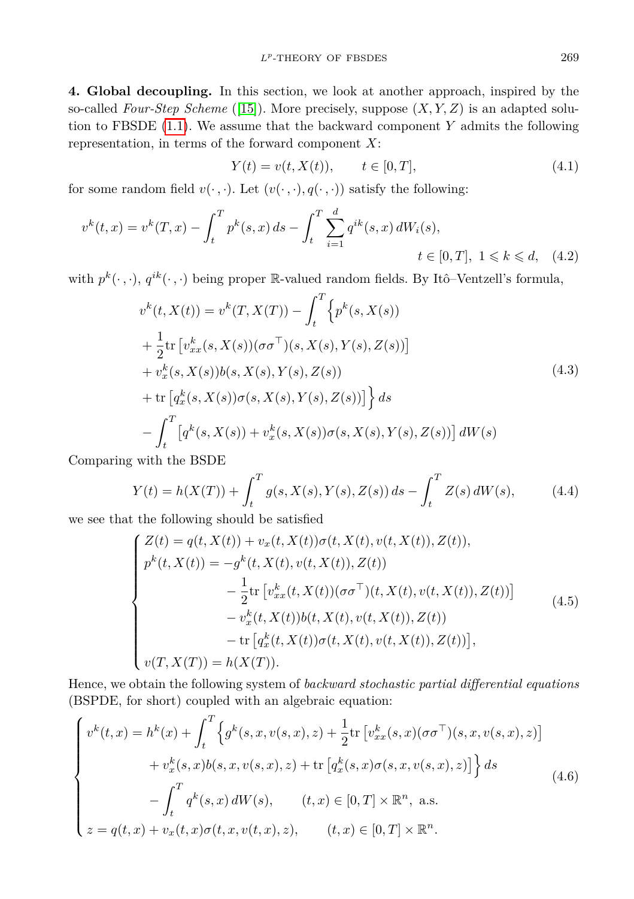**4. Global decoupling.** In this section, we look at another approach, inspired by the so-called *Four-Step Scheme* ([\[15\]](#page-30-5)). More precisely, suppose (*X, Y, Z*) is an adapted solution to FBSDE [\(1.1\)](#page-0-0). We assume that the backward component *Y* admits the following representation, in terms of the forward component *X*:

<span id="page-14-0"></span>
$$
Y(t) = v(t, X(t)), \qquad t \in [0, T], \tag{4.1}
$$

for some random field  $v(\cdot, \cdot)$ . Let  $(v(\cdot, \cdot), q(\cdot, \cdot))$  satisfy the following:

$$
v^{k}(t,x) = v^{k}(T,x) - \int_{t}^{T} p^{k}(s,x) ds - \int_{t}^{T} \sum_{i=1}^{d} q^{ik}(s,x) dW_{i}(s),
$$
  
\n
$$
t \in [0,T], \ 1 \le k \le d, \quad (4.2)
$$

with  $p^k(\cdot, \cdot)$ ,  $q^{ik}(\cdot, \cdot)$  being proper R-valued random fields. By Itô–Ventzell's formula,

$$
v^{k}(t, X(t)) = v^{k}(T, X(T)) - \int_{t}^{T} \left\{ p^{k}(s, X(s))
$$
  
+  $\frac{1}{2}$ tr  $\left[ v_{xx}^{k}(s, X(s)) (\sigma \sigma^{\top})(s, X(s), Y(s), Z(s)) \right]$   
+  $v_{x}^{k}(s, X(s)) b(s, X(s), Y(s), Z(s))$   
+ tr  $\left[ q_{x}^{k}(s, X(s)) \sigma(s, X(s), Y(s), Z(s)) \right] \right\} ds$   
-  $\int_{t}^{T} \left[ q^{k}(s, X(s)) + v_{x}^{k}(s, X(s)) \sigma(s, X(s), Y(s), Z(s)) \right] dW(s)$  (4.3)

Comparing with the BSDE

$$
Y(t) = h(X(T)) + \int_{t}^{T} g(s, X(s), Y(s), Z(s)) ds - \int_{t}^{T} Z(s) dW(s), \tag{4.4}
$$

we see that the following should be satisfied

<span id="page-14-2"></span><span id="page-14-1"></span>
$$
\begin{cases}\nZ(t) = q(t, X(t)) + v_x(t, X(t))\sigma(t, X(t), v(t, X(t)), Z(t)), \\
p^k(t, X(t)) = -g^k(t, X(t), v(t, X(t)), Z(t)) \\
- \frac{1}{2}\text{tr}\left[v_{xx}^k(t, X(t))(\sigma\sigma^\top)(t, X(t), v(t, X(t)), Z(t))\right] \\
- v_x^k(t, X(t))b(t, X(t), v(t, X(t)), Z(t)) \\
- \text{tr}\left[q_x^k(t, X(t))\sigma(t, X(t), v(t, X(t)), Z(t))\right], \\
v(T, X(T)) = h(X(T)).\n\end{cases} \tag{4.5}
$$

Hence, we obtain the following system of *backward stochastic partial differential equations* (BSPDE, for short) coupled with an algebraic equation:

$$
\begin{cases}\nv^{k}(t,x) = h^{k}(x) + \int_{t}^{T} \left\{ g^{k}(s,x,v(s,x),z) + \frac{1}{2} \text{tr}\left[v_{xx}^{k}(s,x)(\sigma\sigma^{T})(s,x,v(s,x),z)\right] \right. \\
\left. + v_{x}^{k}(s,x)b(s,x,v(s,x),z) + \text{tr}\left[q_{x}^{k}(s,x)\sigma(s,x,v(s,x),z)\right] \right\} ds \\
-\int_{t}^{T} q^{k}(s,x) dW(s), \qquad (t,x) \in [0,T] \times \mathbb{R}^{n}, \text{ a.s.} \\
z = q(t,x) + v_{x}(t,x)\sigma(t,x,v(t,x),z), \qquad (t,x) \in [0,T] \times \mathbb{R}^{n}.\n\end{cases} \tag{4.6}
$$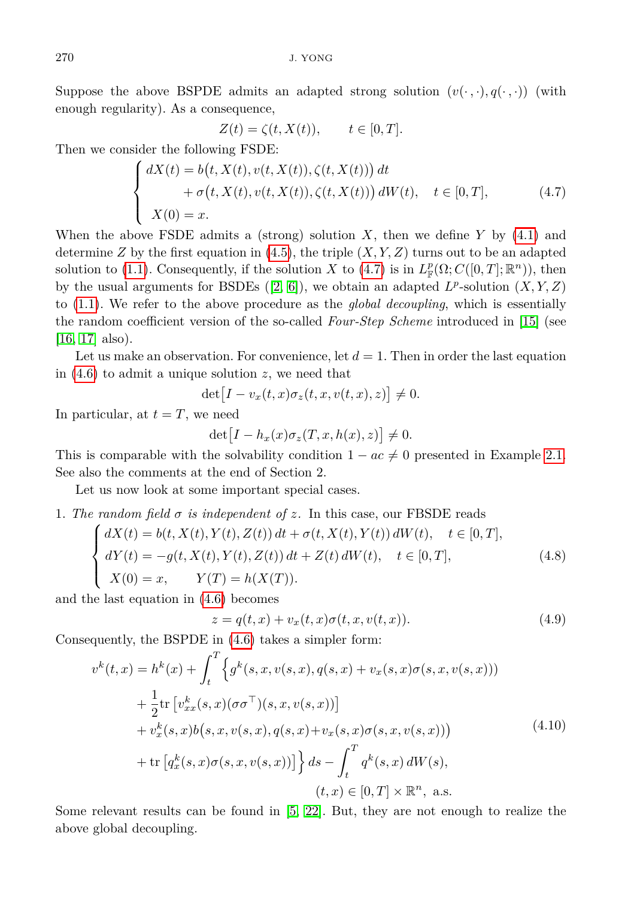Suppose the above BSPDE admits an adapted strong solution  $(v(\cdot, \cdot), q(\cdot, \cdot))$  (with enough regularity). As a consequence,

<span id="page-15-0"></span>
$$
Z(t) = \zeta(t, X(t)), \qquad t \in [0, T].
$$

Then we consider the following FSDE:

$$
\begin{cases}\n dX(t) = b(t, X(t), v(t, X(t)), \zeta(t, X(t))) dt \\
 + \sigma(t, X(t), v(t, X(t)), \zeta(t, X(t))) dW(t), \quad t \in [0, T], \\
 X(0) = x.\n\end{cases} \tag{4.7}
$$

When the above FSDE admits a (strong) solution *X*, then we define *Y* by [\(4.1\)](#page-14-0) and determine *Z* by the first equation in  $(4.5)$ , the triple  $(X, Y, Z)$  turns out to be an adapted solution to [\(1.1\)](#page-0-0). Consequently, if the solution *X* to [\(4.7\)](#page-15-0) is in  $L^p_{\mathbb{F}}(\Omega; C([0,T]; \mathbb{R}^n))$ , then by the usual arguments for BSDEs  $([2, 6])$  $([2, 6])$  $([2, 6])$  $([2, 6])$ , we obtain an adapted  $L^p$ -solution  $(X, Y, Z)$ to [\(1.1\)](#page-0-0). We refer to the above procedure as the *global decoupling*, which is essentially the random coefficient version of the so-called *Four-Step Scheme* introduced in [\[15\]](#page-30-5) (see [\[16,](#page-30-0) [17\]](#page-31-6) also).

Let us make an observation. For convenience, let  $d = 1$ . Then in order the last equation in [\(4.6\)](#page-14-2) to admit a unique solution *z*, we need that

$$
\det [I - v_x(t, x)\sigma_z(t, x, v(t, x), z)] \neq 0.
$$

In particular, at  $t = T$ , we need

$$
\det [I - h_x(x)\sigma_z(T, x, h(x), z)] \neq 0.
$$

This is comparable with the solvability condition  $1 - ac \neq 0$  presented in Example [2.1.](#page-2-2) See also the comments at the end of Section 2.

Let us now look at some important special cases.

1. The random field  $\sigma$  is independent of z. In this case, our FBSDE reads

$$
\begin{cases}\n dX(t) = b(t, X(t), Y(t), Z(t)) dt + \sigma(t, X(t), Y(t)) dW(t), \quad t \in [0, T], \\
 dY(t) = -g(t, X(t), Y(t), Z(t)) dt + Z(t) dW(t), \quad t \in [0, T], \\
 X(0) = x, \qquad Y(T) = h(X(T)).\n\end{cases} (4.8)
$$

and the last equation in [\(4.6\)](#page-14-2) becomes

<span id="page-15-1"></span>
$$
z = q(t, x) + v_x(t, x)\sigma(t, x, v(t, x)).
$$
\n(4.9)

Consequently, the BSPDE in [\(4.6\)](#page-14-2) takes a simpler form:

$$
v^{k}(t,x) = h^{k}(x) + \int_{t}^{T} \left\{ g^{k}(s,x,v(s,x),q(s,x) + v_{x}(s,x)\sigma(s,x,v(s,x))) + \frac{1}{2} \text{tr} \left[ v_{xx}^{k}(s,x)(\sigma\sigma^{T})(s,x,v(s,x)) \right] + v_{x}^{k}(s,x)b(s,x,v(s,x),q(s,x) + v_{x}(s,x)\sigma(s,x,v(s,x))) + \text{tr} \left[ q_{x}^{k}(s,x)\sigma(s,x,v(s,x)) \right] \right\} ds - \int_{t}^{T} q^{k}(s,x) dW(s),
$$
\n
$$
(t,x) \in [0,T] \times \mathbb{R}^{n}, \text{ a.s.}
$$
\n(4.10)

Some relevant results can be found in [\[5,](#page-30-9) [22\]](#page-31-7). But, they are not enough to realize the above global decoupling.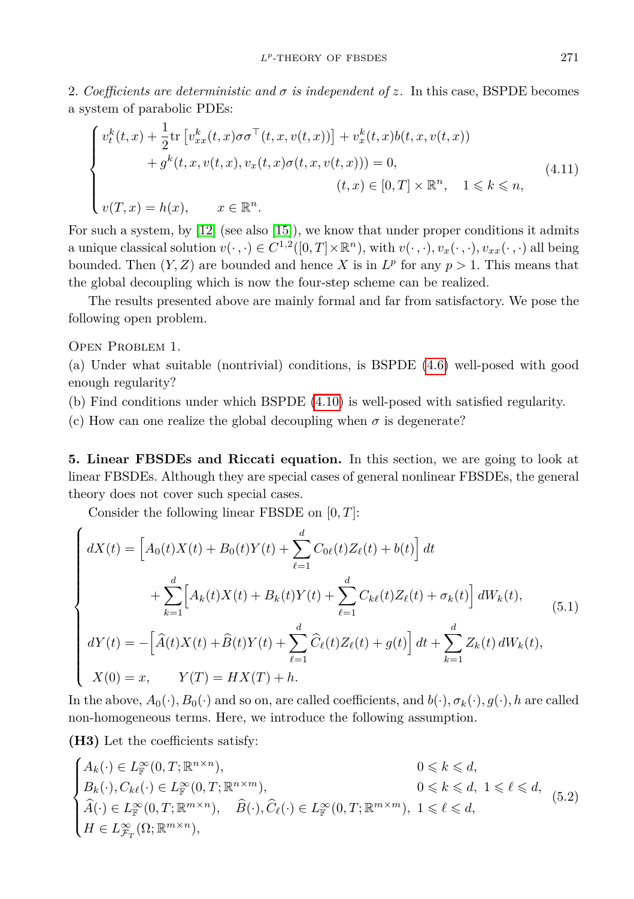2*. Coefficients are deterministic and σ is independent of z.* In this case, BSPDE becomes a system of parabolic PDEs:

$$
\begin{cases}\nv_t^k(t,x) + \frac{1}{2}\text{tr}\left[v_{xx}^k(t,x)\sigma\sigma^\top(t,x,v(t,x))\right] + v_x^k(t,x)b(t,x,v(t,x)) \\
\quad + g^k(t,x,v(t,x),v_x(t,x)\sigma(t,x,v(t,x))) = 0, \\
&\quad (t,x) \in [0,T] \times \mathbb{R}^n, \quad 1 \leq k \leq n, \\
v(T,x) = h(x), \qquad x \in \mathbb{R}^n.\n\end{cases} \tag{4.11}
$$

For such a system, by [\[12\]](#page-30-10) (see also [\[15\]](#page-30-5)), we know that under proper conditions it admits a unique classical solution  $v(\cdot, \cdot) \in C^{1,2}([0,T] \times \mathbb{R}^n)$ , with  $v(\cdot, \cdot), v_x(\cdot, \cdot), v_{xx}(\cdot, \cdot)$  all being bounded. Then  $(Y, Z)$  are bounded and hence X is in  $L^p$  for any  $p > 1$ . This means that the global decoupling which is now the four-step scheme can be realized.

The results presented above are mainly formal and far from satisfactory. We pose the following open problem.

Open Problem 1.

(a) Under what suitable (nontrivial) conditions, is BSPDE [\(4.6\)](#page-14-2) well-posed with good enough regularity?

(b) Find conditions under which BSPDE [\(4.10\)](#page-15-1) is well-posed with satisfied regularity.

(c) How can one realize the global decoupling when  $\sigma$  is degenerate?

**5. Linear FBSDEs and Riccati equation.** In this section, we are going to look at linear FBSDEs. Although they are special cases of general nonlinear FBSDEs, the general theory does not cover such special cases.

<span id="page-16-0"></span>Consider the following linear FBSDE on [0*, T*]:

$$
\begin{cases}\n dX(t) = \left[ A_0(t)X(t) + B_0(t)Y(t) + \sum_{\ell=1}^d C_{0\ell}(t)Z_{\ell}(t) + b(t) \right] dt \\
 \quad + \sum_{k=1}^d \left[ A_k(t)X(t) + B_k(t)Y(t) + \sum_{\ell=1}^d C_{k\ell}(t)Z_{\ell}(t) + \sigma_k(t) \right] dW_k(t), \\
 dY(t) = -\left[ \widehat{A}(t)X(t) + \widehat{B}(t)Y(t) + \sum_{\ell=1}^d \widehat{C}_{\ell}(t)Z_{\ell}(t) + g(t) \right] dt + \sum_{k=1}^d Z_k(t) dW_k(t), \\
 X(0) = x, \qquad Y(T) = HX(T) + h.\n\end{cases} \tag{5.1}
$$

In the above,  $A_0(\cdot), B_0(\cdot)$  and so on, are called coefficients, and  $b(\cdot), \sigma_k(\cdot), g(\cdot)$ *, h* are called non-homogeneous terms. Here, we introduce the following assumption.

**(H3)** Let the coefficients satisfy:

$$
\begin{cases}\nA_k(\cdot) \in L^{\infty}_\mathbb{F}(0,T;\mathbb{R}^{n \times n}), & 0 \leqslant k \leqslant d, \\
B_k(\cdot), C_{k\ell}(\cdot) \in L^{\infty}_\mathbb{F}(0,T;\mathbb{R}^{n \times m}), & 0 \leqslant k \leqslant d, 1 \leqslant \ell \leqslant d, \\
\widehat{A}(\cdot) \in L^{\infty}_\mathbb{F}(0,T;\mathbb{R}^{m \times n}), & \widehat{B}(\cdot), \widehat{C}_{\ell}(\cdot) \in L^{\infty}_\mathbb{F}(0,T;\mathbb{R}^{m \times m}), & 1 \leqslant \ell \leqslant d, \\
H \in L^{\infty}_{\mathcal{F}_T}(\Omega;\mathbb{R}^{m \times n}), & \n\end{cases} \tag{5.2}
$$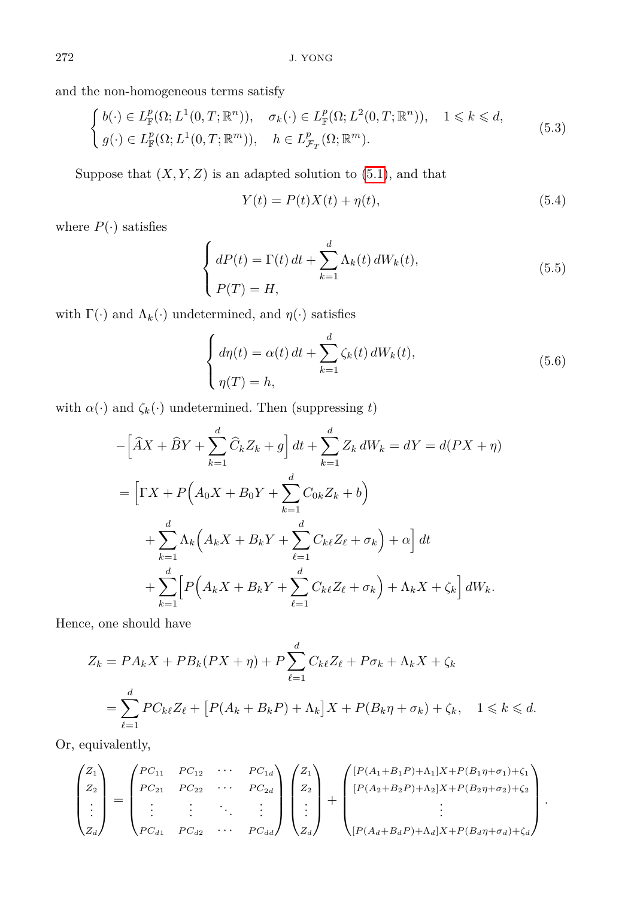and the non-homogeneous terms satisfy

$$
\begin{cases}\nb(\cdot) \in L^p_{\mathbb{F}}(\Omega; L^1(0, T; \mathbb{R}^n)), & \sigma_k(\cdot) \in L^p_{\mathbb{F}}(\Omega; L^2(0, T; \mathbb{R}^n)), \quad 1 \leq k \leq d, \\
g(\cdot) \in L^p_{\mathbb{F}}(\Omega; L^1(0, T; \mathbb{R}^m)), & h \in L^p_{\mathcal{F}_T}(\Omega; \mathbb{R}^m).\n\end{cases} \tag{5.3}
$$

Suppose that  $(X, Y, Z)$  is an adapted solution to  $(5.1)$ , and that

<span id="page-17-0"></span>
$$
Y(t) = P(t)X(t) + \eta(t),\tag{5.4}
$$

where  $P(\cdot)$  satisfies

$$
\begin{cases}\n dP(t) = \Gamma(t) dt + \sum_{k=1}^{d} \Lambda_k(t) dW_k(t), \\
 P(T) = H,\n\end{cases}
$$
\n(5.5)

with  $\Gamma(\cdot)$  and  $\Lambda_k(\cdot)$  undetermined, and  $\eta(\cdot)$  satisfies

<span id="page-17-1"></span>
$$
\begin{cases}\n d\eta(t) = \alpha(t) dt + \sum_{k=1}^{d} \zeta_k(t) dW_k(t), \\
 \eta(T) = h,\n\end{cases}
$$
\n(5.6)

with  $\alpha(\cdot)$  and  $\zeta_k(\cdot)$  undetermined. Then (suppressing *t*)

$$
-\left[\hat{A}X + \hat{B}Y + \sum_{k=1}^{d} \hat{C}_{k}Z_{k} + g\right]dt + \sum_{k=1}^{d} Z_{k} dW_{k} = dY = d(PX + \eta)
$$
  
=  $\left[\Gamma X + P\left(A_{0}X + B_{0}Y + \sum_{k=1}^{d} C_{0k}Z_{k} + b\right) + \sum_{k=1}^{d} \Lambda_{k}\left(A_{k}X + B_{k}Y + \sum_{\ell=1}^{d} C_{k\ell}Z_{\ell} + \sigma_{k}\right) + \alpha\right]dt + \sum_{k=1}^{d} \left[P\left(A_{k}X + B_{k}Y + \sum_{\ell=1}^{d} C_{k\ell}Z_{\ell} + \sigma_{k}\right) + \Lambda_{k}X + \zeta_{k}\right]dW_{k}.$ 

Hence, one should have

$$
Z_k = PA_k X + PB_k(PX + \eta) + P \sum_{\ell=1}^d C_{k\ell} Z_\ell + P\sigma_k + \Lambda_k X + \zeta_k
$$
  
= 
$$
\sum_{\ell=1}^d PC_{k\ell} Z_\ell + [P(A_k + B_k P) + \Lambda_k] X + P(B_k \eta + \sigma_k) + \zeta_k, \quad 1 \le k \le d.
$$

Or, equivalently,

$$
\begin{pmatrix} Z_1 \\ Z_2 \\ \vdots \\ Z_d \end{pmatrix} = \begin{pmatrix} PC_{11} & PC_{12} & \cdots & PC_{1d} \\ PC_{21} & PC_{22} & \cdots & PC_{2d} \\ \vdots & \vdots & \ddots & \vdots \\ PC_{d1} & PC_{d2} & \cdots & PC_{dd} \end{pmatrix} \begin{pmatrix} Z_1 \\ Z_2 \\ \vdots \\ Z_d \end{pmatrix} + \begin{pmatrix} [P(A_1 + B_1P) + \Lambda_1]X + P(B_1\eta + \sigma_1) + \zeta_1 \\ [P(A_2 + B_2P) + \Lambda_2]X + P(B_2\eta + \sigma_2) + \zeta_2 \\ \vdots \\ [P(A_d + B_dP) + \Lambda_d]X + P(B_d\eta + \sigma_d) + \zeta_d \end{pmatrix}
$$

*.*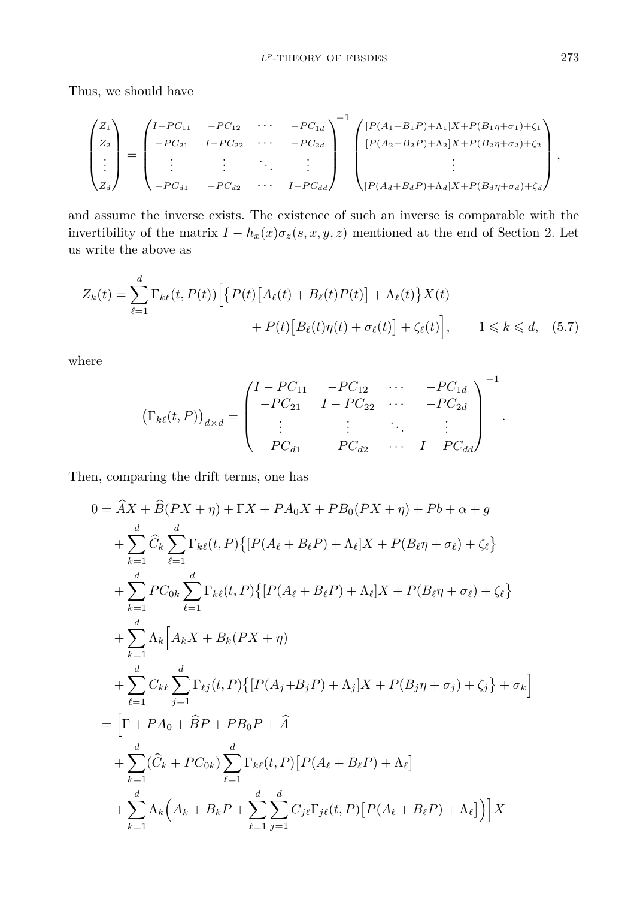Thus, we should have

$$
\begin{pmatrix} Z_1 \\ Z_2 \\ \vdots \\ Z_d \end{pmatrix} = \begin{pmatrix} I - PC_{11} & -PC_{12} & \cdots & -PC_{1d} \\ -PC_{21} & I - PC_{22} & \cdots & -PC_{2d} \\ \vdots & \vdots & \ddots & \vdots \\ -PC_{d1} & -PC_{d2} & \cdots & I - PC_{dd} \end{pmatrix}^{-1} \begin{pmatrix} [P(A_1 + B_1P) + \Lambda_1]X + P(B_1\eta + \sigma_1) + \zeta_1 \\ [P(A_2 + B_2P) + \Lambda_2]X + P(B_2\eta + \sigma_2) + \zeta_2 \\ \vdots \\ [P(A_d + B_dP) + \Lambda_d]X + P(B_d\eta + \sigma_d) + \zeta_d \end{pmatrix},
$$

and assume the inverse exists. The existence of such an inverse is comparable with the invertibility of the matrix  $I - h_x(x)\sigma_z(s, x, y, z)$  mentioned at the end of Section 2. Let us write the above as

$$
Z_k(t) = \sum_{\ell=1}^d \Gamma_{k\ell}(t, P(t)) \Big[ \{ P(t) \big[ A_\ell(t) + B_\ell(t) P(t) \big] + \Lambda_\ell(t) \} X(t) + P(t) \big[ B_\ell(t) \eta(t) + \sigma_\ell(t) \big] + \zeta_\ell(t) \Big], \qquad 1 \leq k \leq d, \quad (5.7)
$$

where

$$
\left(\Gamma_{k\ell}(t,P)\right)_{d\times d} = \begin{pmatrix} I - PC_{11} & -PC_{12} & \cdots & -PC_{1d} \\ -PC_{21} & I - PC_{22} & \cdots & -PC_{2d} \\ \vdots & \vdots & \ddots & \vdots \\ -PC_{d1} & -PC_{d2} & \cdots & I - PC_{dd} \end{pmatrix}^{-1}
$$

Then, comparing the drift terms, one has

$$
0 = \hat{A}X + \hat{B}(PX + \eta) + \Gamma X + PA_0X + PB_0(PX + \eta) + Pb + \alpha + g
$$
  
+ 
$$
\sum_{k=1}^{d} \hat{C}_k \sum_{\ell=1}^{d} \Gamma_{k\ell}(t, P) \{ [P(A_{\ell} + B_{\ell}P) + \Lambda_{\ell}]X + P(B_{\ell}\eta + \sigma_{\ell}) + \zeta_{\ell} \}
$$
  
+ 
$$
\sum_{k=1}^{d} PC_{0k} \sum_{\ell=1}^{d} \Gamma_{k\ell}(t, P) \{ [P(A_{\ell} + B_{\ell}P) + \Lambda_{\ell}]X + P(B_{\ell}\eta + \sigma_{\ell}) + \zeta_{\ell} \}
$$
  
+ 
$$
\sum_{k=1}^{d} \Lambda_k \Big[ A_k X + B_k (PX + \eta)
$$
  
+ 
$$
\sum_{\ell=1}^{d} C_{k\ell} \sum_{j=1}^{d} \Gamma_{\ell j}(t, P) \{ [P(A_j + B_jP) + \Lambda_j]X + P(B_j\eta + \sigma_j) + \zeta_j \} + \sigma_k \Big]
$$
  
= 
$$
\Big[ \Gamma + PA_0 + \hat{B}P + PB_0P + \hat{A}
$$
  
+ 
$$
\sum_{k=1}^{d} (\hat{C}_k + PC_{0k}) \sum_{\ell=1}^{d} \Gamma_{k\ell}(t, P) [P(A_{\ell} + B_{\ell}P) + \Lambda_{\ell}]
$$
  
+ 
$$
\sum_{k=1}^{d} \Lambda_k (A_k + B_kP + \sum_{\ell=1}^{d} \sum_{j=1}^{d} C_{j\ell} \Gamma_{j\ell}(t, P) [P(A_{\ell} + B_{\ell}P) + \Lambda_{\ell}] \Big) \Big] X
$$

*.*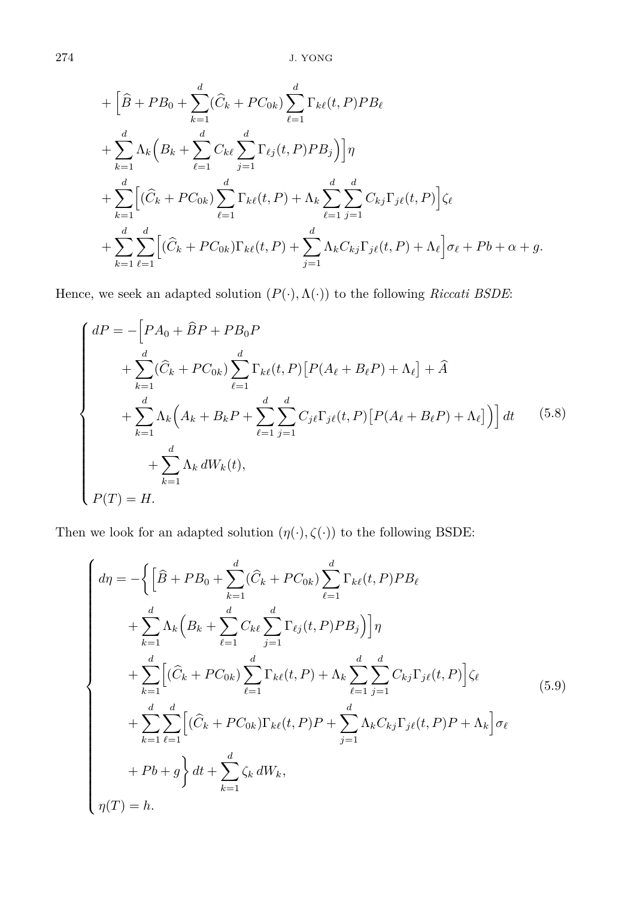+ 
$$
\left[ \hat{B} + PB_0 + \sum_{k=1}^d (\hat{C}_k + PC_{0k}) \sum_{\ell=1}^d \Gamma_{k\ell}(t, P) PB_\ell \right]
$$
  
+ 
$$
\sum_{k=1}^d \Lambda_k \left( B_k + \sum_{\ell=1}^d C_{k\ell} \sum_{j=1}^d \Gamma_{\ell j}(t, P) PB_j \right) \right] \eta
$$
  
+ 
$$
\sum_{k=1}^d \left[ (\hat{C}_k + PC_{0k}) \sum_{\ell=1}^d \Gamma_{k\ell}(t, P) + \Lambda_k \sum_{\ell=1}^d \sum_{j=1}^d C_{kj} \Gamma_{j\ell}(t, P) \right] \zeta_\ell
$$
  
+ 
$$
\sum_{k=1}^d \sum_{\ell=1}^d \left[ (\hat{C}_k + PC_{0k}) \Gamma_{k\ell}(t, P) + \sum_{j=1}^d \Lambda_k C_{kj} \Gamma_{j\ell}(t, P) + \Lambda_\ell \right] \sigma_\ell + Pb + \alpha + g.
$$

Hence, we seek an adapted solution  $(P(\cdot),\Lambda(\cdot))$  to the following  $Riccati$   $BSDE:$ 

<span id="page-19-0"></span>
$$
\begin{cases}\ndP = -\left[PA_0 + \hat{B}P + PB_0P\right. \\
\left. + \sum_{k=1}^d (\hat{C}_k + PC_{0k}) \sum_{\ell=1}^d \Gamma_{k\ell}(t, P) \left[ P(A_{\ell} + B_{\ell}P) + \Lambda_{\ell} \right] + \hat{A} \\
\left. + \sum_{k=1}^d \Lambda_k \left( A_k + B_k P + \sum_{\ell=1}^d \sum_{j=1}^d C_{j\ell} \Gamma_{j\ell}(t, P) \left[ P(A_{\ell} + B_{\ell}P) + \Lambda_{\ell} \right] \right) \right] dt \\
\left. + \sum_{k=1}^d \Lambda_k dW_k(t),\n\end{cases} \tag{5.8}
$$
\n
$$
+ \sum_{k=1}^d \Lambda_k dW_k(t),
$$

Then we look for an adapted solution  $(\eta(\cdot),\zeta(\cdot))$  to the following BSDE:

<span id="page-19-1"></span>
$$
\begin{cases}\nd\eta = -\left\{\left[\hat{B} + PB_0 + \sum_{k=1}^d (\hat{C}_k + PC_{0k}) \sum_{\ell=1}^d \Gamma_{k\ell}(t, P)PB_\ell\right.\right. \\
\left. + \sum_{k=1}^d \Lambda_k \left(B_k + \sum_{\ell=1}^d C_{k\ell} \sum_{j=1}^d \Gamma_{\ell j}(t, P)PB_j\right)\right]\eta \\
+ \sum_{k=1}^d \left[ (\hat{C}_k + PC_{0k}) \sum_{\ell=1}^d \Gamma_{k\ell}(t, P) + \Lambda_k \sum_{\ell=1}^d \sum_{j=1}^d C_{kj} \Gamma_{j\ell}(t, P) \right] \zeta_\ell \\
+ \sum_{k=1}^d \sum_{\ell=1}^d \left[ (\hat{C}_k + PC_{0k}) \Gamma_{k\ell}(t, P)P + \sum_{j=1}^d \Lambda_k C_{kj} \Gamma_{j\ell}(t, P)P + \Lambda_k \right] \sigma_\ell \\
+ Pb + g \right\} dt + \sum_{k=1}^d \zeta_k dW_k, \\
\eta(T) = h.\n\end{cases} \tag{5.9}
$$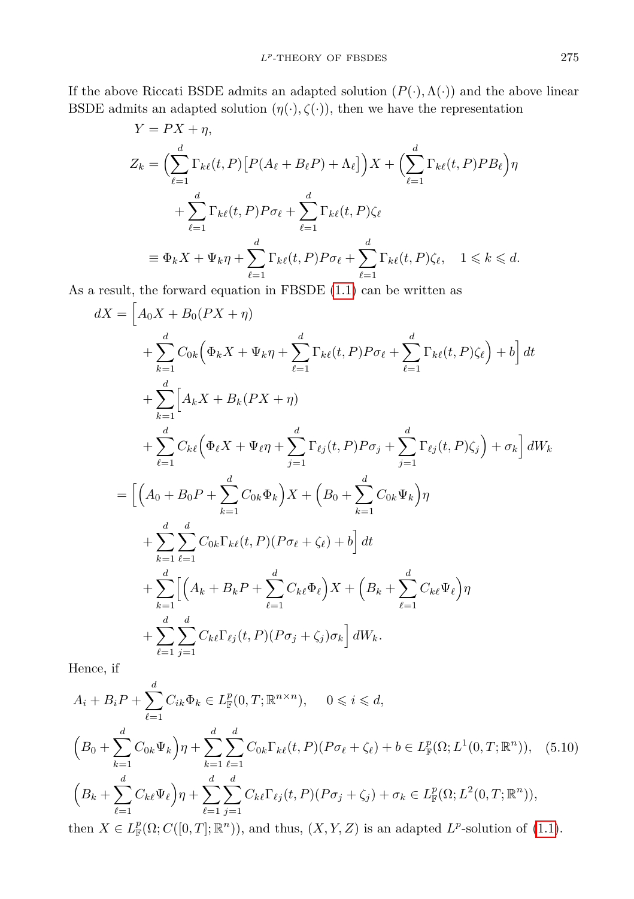If the above Riccati BSDE admits an adapted solution  $(P(\cdot), \Lambda(\cdot))$  and the above linear BSDE admits an adapted solution  $(\eta(\cdot), \zeta(\cdot))$ , then we have the representation

$$
Y = PX + \eta,
$$
  
\n
$$
Z_k = \left(\sum_{\ell=1}^d \Gamma_{k\ell}(t, P) \left[ P(A_{\ell} + B_{\ell}P) + \Lambda_{\ell} \right] \right) X + \left(\sum_{\ell=1}^d \Gamma_{k\ell}(t, P) P B_{\ell} \right) \eta
$$
  
\n
$$
+ \sum_{\ell=1}^d \Gamma_{k\ell}(t, P) P \sigma_{\ell} + \sum_{\ell=1}^d \Gamma_{k\ell}(t, P) \zeta_{\ell}
$$
  
\n
$$
\equiv \Phi_k X + \Psi_k \eta + \sum_{\ell=1}^d \Gamma_{k\ell}(t, P) P \sigma_{\ell} + \sum_{\ell=1}^d \Gamma_{k\ell}(t, P) \zeta_{\ell}, \quad 1 \leq k \leq d.
$$

As a result, the forward equation in FBSDE [\(1.1\)](#page-0-0) can be written as

$$
dX = \left[A_0 X + B_0 (PX + \eta)\right.+ \sum_{k=1}^d C_{0k} \left(\Phi_k X + \Psi_k \eta + \sum_{\ell=1}^d \Gamma_{k\ell}(t, P) P \sigma_\ell + \sum_{\ell=1}^d \Gamma_{k\ell}(t, P) \zeta_\ell\right) + b\right] dt + \sum_{k=1}^d \left[A_k X + B_k (PX + \eta)\right.+ \sum_{\ell=1}^d C_{k\ell} \left(\Phi_\ell X + \Psi_\ell \eta + \sum_{j=1}^d \Gamma_{\ell j}(t, P) P \sigma_j + \sum_{j=1}^d \Gamma_{\ell j}(t, P) \zeta_j\right) + \sigma_k\right] dW_k = \left[\left(A_0 + B_0 P + \sum_{k=1}^d C_{0k} \Phi_k\right) X + \left(B_0 + \sum_{k=1}^d C_{0k} \Psi_k\right) \eta+ \sum_{k=1}^d \sum_{\ell=1}^d C_{0k} \Gamma_{k\ell}(t, P) (P \sigma_\ell + \zeta_\ell) + b\right] dt + \sum_{\ell=1}^d \left[\left(A_k + B_k P + \sum_{\ell=1}^d C_{k\ell} \Phi_\ell\right) X + \left(B_k + \sum_{\ell=1}^d C_{k\ell} \Psi_\ell\right) \eta+ \sum_{\ell=1}^d \sum_{j=1}^d C_{k\ell} \Gamma_{\ell j}(t, P) (P \sigma_j + \zeta_j) \sigma_k\right] dW_k.
$$

<span id="page-20-0"></span>Hence, if

$$
A_{i} + B_{i}P + \sum_{\ell=1}^{d} C_{ik} \Phi_{k} \in L_{\mathbb{F}}^{p}(0, T; \mathbb{R}^{n \times n}), \quad 0 \leq i \leq d,
$$
  
\n
$$
\left(B_{0} + \sum_{k=1}^{d} C_{0k} \Psi_{k}\right) \eta + \sum_{k=1}^{d} \sum_{\ell=1}^{d} C_{0k} \Gamma_{k\ell}(t, P) (P \sigma_{\ell} + \zeta_{\ell}) + b \in L_{\mathbb{F}}^{p}(\Omega; L^{1}(0, T; \mathbb{R}^{n})), \quad (5.10)
$$
  
\n
$$
\left(B_{k} + \sum_{\ell=1}^{d} C_{k\ell} \Psi_{\ell}\right) \eta + \sum_{\ell=1}^{d} \sum_{j=1}^{d} C_{k\ell} \Gamma_{\ell j}(t, P) (P \sigma_{j} + \zeta_{j}) + \sigma_{k} \in L_{\mathbb{F}}^{p}(\Omega; L^{2}(0, T; \mathbb{R}^{n})),
$$
  
\nthen  $Y \in L_{\mathbb{F}}^{p}(\Omega; C((0, T), \mathbb{R}^{n}))$ , and thus  $(Y, Y, Z)$  is an adapted  $L_{\mathbb{F}}^{p}$  solution of (1.1)

then  $X \in L^p_{\mathbb{F}}(\Omega; C([0,T]; \mathbb{R}^n))$ , and thus,  $(X, Y, Z)$  is an adapted  $L^p$ -solution of [\(1.1\)](#page-0-0).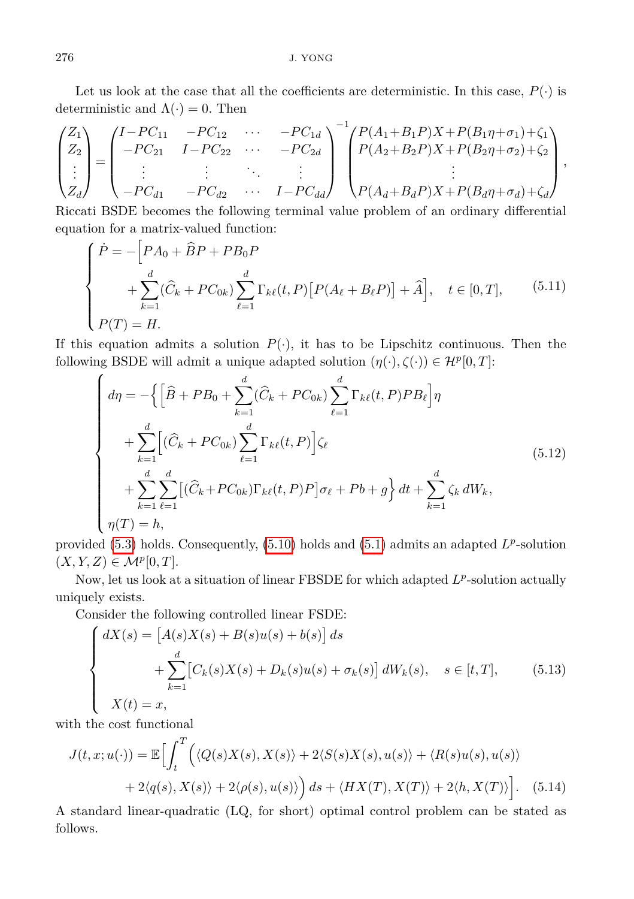Let us look at the case that all the coefficients are deterministic. In this case,  $P(\cdot)$  is deterministic and  $\Lambda(\cdot) = 0$ . Then

$$
\begin{pmatrix} Z_1 \\ Z_2 \\ \vdots \\ Z_d \end{pmatrix} = \begin{pmatrix} I - PC_{11} & -PC_{12} & \cdots & -PC_{1d} \\ -PC_{21} & I - PC_{22} & \cdots & -PC_{2d} \\ \vdots & \vdots & \ddots & \vdots \\ -PC_{d1} & -PC_{d2} & \cdots & I - PC_{dd} \end{pmatrix}^{-1} \begin{pmatrix} P(A_1 + B_1 P)X + P(B_1 \eta + \sigma_1) + \zeta_1 \\ P(A_2 + B_2 P)X + P(B_2 \eta + \sigma_2) + \zeta_2 \\ \vdots \\ P(A_d + B_d P)X + P(B_d \eta + \sigma_d) + \zeta_d \end{pmatrix},
$$

Riccati BSDE becomes the following terminal value problem of an ordinary differential equation for a matrix-valued function:

<span id="page-21-0"></span>
$$
\begin{cases}\n\dot{P} = -\Big[PA_0 + \hat{B}P + PB_0P \\
+ \sum_{k=1}^d (\hat{C}_k + PC_{0k}) \sum_{\ell=1}^d \Gamma_{k\ell}(t, P) \big[P(A_{\ell} + B_{\ell}P)\big] + \hat{A}\Big], & t \in [0, T], \qquad (5.11) \\
P(T) = H.\n\end{cases}
$$

If this equation admits a solution  $P(\cdot)$ , it has to be Lipschitz continuous. Then the following BSDE will admit a unique adapted solution  $(\eta(\cdot), \zeta(\cdot)) \in \mathcal{H}^p[0, T]$ :

$$
\begin{cases}\nd\eta = -\Big\{\Big[\hat{B} + PB_0 + \sum_{k=1}^d (\hat{C}_k + PC_{0k}) \sum_{\ell=1}^d \Gamma_{k\ell}(t, P)PB_\ell\Big]\eta \\
+ \sum_{k=1}^d \Big[ (\hat{C}_k + PC_{0k}) \sum_{\ell=1}^d \Gamma_{k\ell}(t, P) \Big] \zeta_\ell \\
+ \sum_{k=1}^d \sum_{\ell=1}^d \Big[ (\hat{C}_k + PC_{0k}) \Gamma_{k\ell}(t, P)P \Big] \sigma_\ell + Pb + g \Big\} dt + \sum_{k=1}^d \zeta_k dW_k, \\
\eta(T) = h,\n\end{cases} \tag{5.12}
$$

provided [\(5.3\)](#page-17-0) holds. Consequently, [\(5.10\)](#page-20-0) holds and [\(5.1\)](#page-16-0) admits an adapted  $L^p$ -solution  $(X, Y, Z) \in \mathcal{M}^p[0, T].$ 

Now, let us look at a situation of linear FBSDE for which adapted  $L^p$ -solution actually uniquely exists.

Consider the following controlled linear FSDE:

$$
\begin{cases}\n dX(s) = \left[ A(s)X(s) + B(s)u(s) + b(s) \right] ds \\
 \quad + \sum_{k=1}^{d} \left[ C_k(s)X(s) + D_k(s)u(s) + \sigma_k(s) \right] dW_k(s), \quad s \in [t, T], \\
 X(t) = x,\n\end{cases} \tag{5.13}
$$

with the cost functional

$$
J(t, x; u(\cdot)) = \mathbb{E}\Big[\int_t^T \Big(\langle Q(s)X(s), X(s)\rangle + 2\langle S(s)X(s), u(s)\rangle + \langle R(s)u(s), u(s)\rangle
$$
  
+2\langle q(s), X(s)\rangle + 2\langle \rho(s), u(s)\rangle\Big) ds + \langle HX(T), X(T)\rangle + 2\langle h, X(T)\rangle\Big]. (5.14)

A standard linear-quadratic (LQ, for short) optimal control problem can be stated as follows.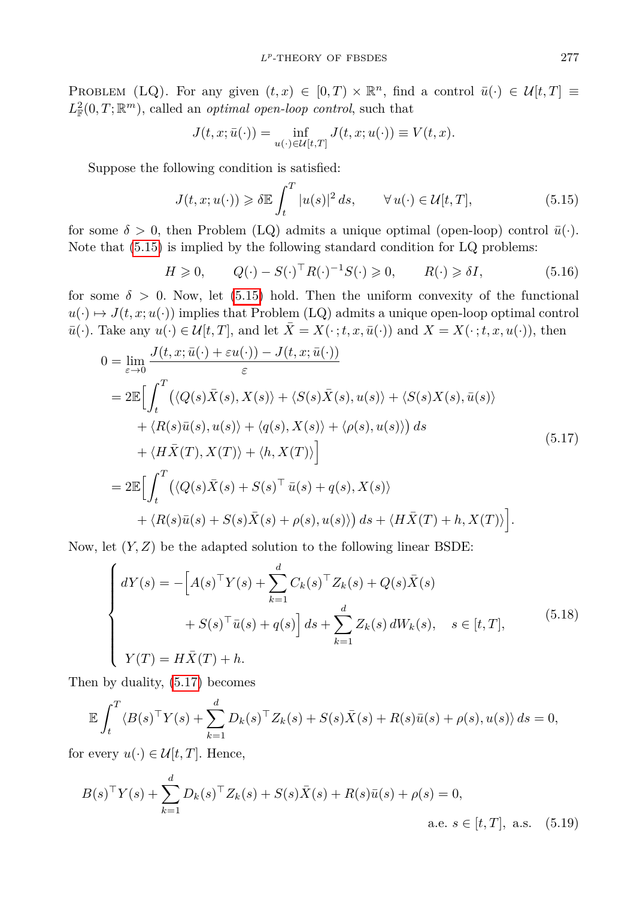PROBLEM (LQ). For any given  $(t, x) \in [0, T) \times \mathbb{R}^n$ , find a control  $\bar{u}(\cdot) \in \mathcal{U}[t, T] \equiv$  $L^2_{\mathbb{F}}(0,T;\mathbb{R}^m)$ , called an *optimal open-loop control*, such that

<span id="page-22-2"></span><span id="page-22-0"></span>
$$
J(t,x;\bar u(\cdot))=\inf_{u(\cdot)\in\mathcal{U}[t,T]}J(t,x;u(\cdot))\equiv V(t,x).
$$

Suppose the following condition is satisfied:

$$
J(t, x; u(\cdot)) \geq \delta \mathbb{E} \int_{t}^{T} |u(s)|^{2} ds, \qquad \forall u(\cdot) \in \mathcal{U}[t, T], \tag{5.15}
$$

for some  $\delta > 0$ , then Problem (LQ) admits a unique optimal (open-loop) control  $\bar{u}(\cdot)$ . Note that [\(5.15\)](#page-22-0) is implied by the following standard condition for LQ problems:

<span id="page-22-1"></span>
$$
H \geq 0, \qquad Q(\cdot) - S(\cdot)^{\top} R(\cdot)^{-1} S(\cdot) \geq 0, \qquad R(\cdot) \geq \delta I,\tag{5.16}
$$

for some  $\delta > 0$ . Now, let [\(5.15\)](#page-22-0) hold. Then the uniform convexity of the functional  $u(\cdot) \mapsto J(t, x; u(\cdot))$  implies that Problem (LQ) admits a unique open-loop optimal control  $\bar{u}(\cdot)$ . Take any  $u(\cdot) \in \mathcal{U}[t,T]$ , and let  $\bar{X} = X(\cdot; t, x, \bar{u}(\cdot))$  and  $X = X(\cdot; t, x, u(\cdot))$ , then

$$
0 = \lim_{\varepsilon \to 0} \frac{J(t, x; \bar{u}(\cdot) + \varepsilon u(\cdot)) - J(t, x; \bar{u}(\cdot))}{\varepsilon}
$$
  
\n
$$
= 2\mathbb{E} \Big[ \int_t^T \big( \langle Q(s) \bar{X}(s), X(s) \rangle + \langle S(s) \bar{X}(s), u(s) \rangle + \langle S(s) X(s), \bar{u}(s) \rangle + \langle R(s) \bar{u}(s), u(s) \rangle + \langle q(s), X(s) \rangle + \langle \rho(s), u(s) \rangle \Big) ds
$$
  
\n
$$
+ \langle H\bar{X}(T), X(T) \rangle + \langle h, X(T) \rangle \Big]
$$
  
\n
$$
= 2\mathbb{E} \Big[ \int_t^T \big( \langle Q(s) \bar{X}(s) + S(s)^\top \bar{u}(s) + q(s), X(s) \rangle + \langle R(s) \bar{u}(s) + S(s) \bar{X}(s) + \rho(s), u(s) \rangle \big) ds + \langle H\bar{X}(T) + h, X(T) \rangle \Big].
$$
  
\n(5.17)

Now, let  $(Y, Z)$  be the adapted solution to the following linear BSDE:

$$
\begin{cases}\ndY(s) = -\left[A(s)^{\top}Y(s) + \sum_{k=1}^{d} C_k(s)^{\top} Z_k(s) + Q(s)\bar{X}(s) + S(s)^{\top}\bar{u}(s) + g(s)\right]ds + \sum_{k=1}^{d} Z_k(s) dW_k(s), \quad s \in [t, T], \\
Y(T) = H\bar{X}(T) + h.\n\end{cases} \tag{5.18}
$$

Then by duality, [\(5.17\)](#page-22-1) becomes

$$
\mathbb{E}\int_{t}^{T} \langle B(s)^{\top}Y(s) + \sum_{k=1}^{d} D_{k}(s)^{\top}Z_{k}(s) + S(s)\overline{X}(s) + R(s)\overline{u}(s) + \rho(s), u(s) \rangle ds = 0,
$$

for every  $u(\cdot) \in \mathcal{U}[t,T]$ . Hence,

$$
B(s)^{\top}Y(s) + \sum_{k=1}^{d} D_k(s)^{\top} Z_k(s) + S(s)\bar{X}(s) + R(s)\bar{u}(s) + \rho(s) = 0,
$$
  
a.e.  $s \in [t, T]$ , a.s. (5.19)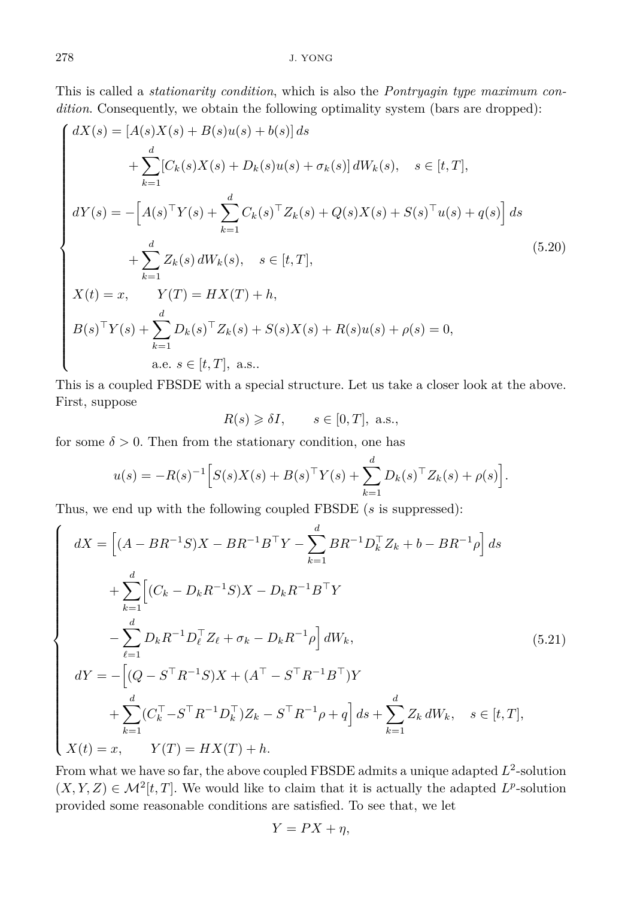This is called a *stationarity condition*, which is also the *Pontryagin type maximum condition*. Consequently, we obtain the following optimality system (bars are dropped):

$$
\begin{cases}\ndX(s) = [A(s)X(s) + B(s)u(s) + b(s)] ds \\
+ \sum_{k=1}^{d} [C_k(s)X(s) + D_k(s)u(s) + \sigma_k(s)] dW_k(s), \quad s \in [t, T], \\
dY(s) = -[A(s)^\top Y(s) + \sum_{k=1}^{d} C_k(s)^\top Z_k(s) + Q(s)X(s) + S(s)^\top u(s) + q(s)] ds \\
+ \sum_{k=1}^{d} Z_k(s) dW_k(s), \quad s \in [t, T], \\
X(t) = x, \qquad Y(T) = HX(T) + h, \\
B(s)^\top Y(s) + \sum_{k=1}^{d} D_k(s)^\top Z_k(s) + S(s)X(s) + R(s)u(s) + \rho(s) = 0, \\
a.e. \quad s \in [t, T], \text{ a.s.} \n\end{cases} \n(5.20)
$$

This is a coupled FBSDE with a special structure. Let us take a closer look at the above. First, suppose

<span id="page-23-1"></span><span id="page-23-0"></span>
$$
R(s) \geq \delta I, \qquad s \in [0, T], \text{ a.s.},
$$

for some  $\delta > 0$ . Then from the stationary condition, one has

$$
u(s) = -R(s)^{-1} \Big[ S(s)X(s) + B(s)^{\top}Y(s) + \sum_{k=1}^{d} D_k(s)^{\top} Z_k(s) + \rho(s) \Big].
$$

Thus, we end up with the following coupled FBSDE (*s* is suppressed):

$$
\begin{cases}\n dX = \left[ (A - BR^{-1}S)X - BR^{-1}B^{\top}Y - \sum_{k=1}^{d} BR^{-1}D_{k}^{\top}Z_{k} + b - BR^{-1}\rho \right] ds \\
 + \sum_{k=1}^{d} \left[ (C_{k} - D_{k}R^{-1}S)X - D_{k}R^{-1}B^{\top}Y - \sum_{k=1}^{d} D_{k}R^{-1}D_{\ell}^{\top}Z_{\ell} + \sigma_{k} - D_{k}R^{-1}\rho \right] dW_{k}, \\
 dY = - \left[ (Q - S^{\top}R^{-1}S)X + (A^{\top} - S^{\top}R^{-1}B^{\top})Y - \sum_{k=1}^{d} (C_{k}^{\top} - S^{\top}R^{-1}D_{k}^{\top})Z_{k} - S^{\top}R^{-1}\rho + q \right] ds + \sum_{k=1}^{d} Z_{k} dW_{k}, \quad s \in [t, T], \\
 X(t) = x, \qquad Y(T) = HX(T) + h.\n\end{cases}
$$
\n(5.21)

From what we have so far, the above coupled FBSDE admits a unique adapted  $L^2$ -solution  $(X, Y, Z) \in \mathcal{M}^2[t, T]$ . We would like to claim that it is actually the adapted  $L^p$ -solution provided some reasonable conditions are satisfied. To see that, we let

$$
Y = PX + \eta,
$$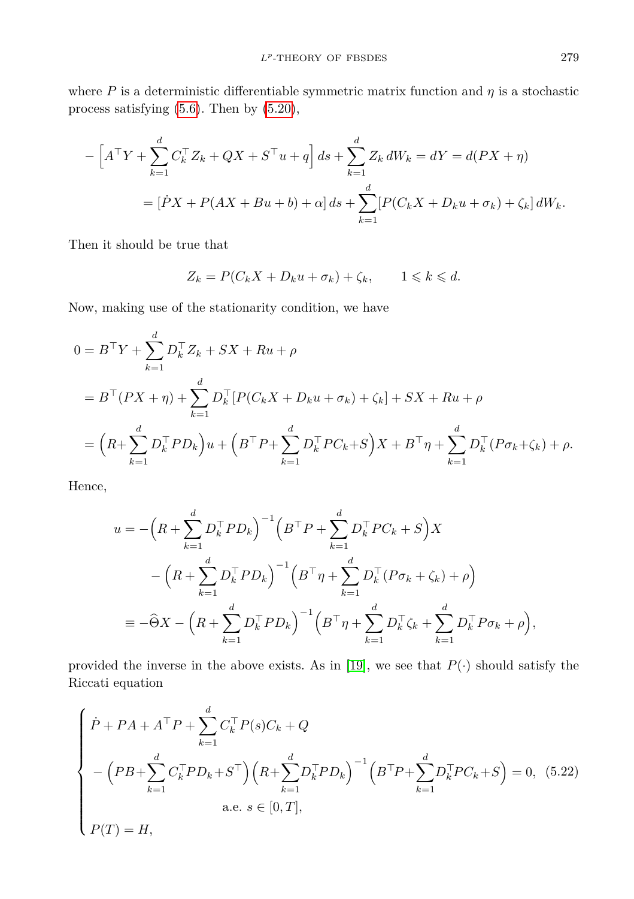where  $P$  is a deterministic differentiable symmetric matrix function and  $\eta$  is a stochastic process satisfying [\(5.6\)](#page-17-1). Then by [\(5.20\)](#page-23-0),

$$
- \left[ A^{\top}Y + \sum_{k=1}^{d} C_{k}^{\top} Z_{k} + QX + S^{\top} u + q \right] ds + \sum_{k=1}^{d} Z_{k} dW_{k} = dY = d(PX + \eta)
$$
  
= 
$$
[\dot{P}X + P(AX + Bu + b) + \alpha] ds + \sum_{k=1}^{d} [P(C_{k}X + D_{k}u + \sigma_{k}) + \zeta_{k}] dW_{k}.
$$

Then it should be true that

$$
Z_k = P(C_k X + D_k u + \sigma_k) + \zeta_k, \qquad 1 \leq k \leq d.
$$

Now, making use of the stationarity condition, we have

$$
0 = B^{\top} Y + \sum_{k=1}^{d} D_k^{\top} Z_k + SX + Ru + \rho
$$
  
=  $B^{\top} (PX + \eta) + \sum_{k=1}^{d} D_k^{\top} [P(C_k X + D_k u + \sigma_k) + \zeta_k] + SX + Ru + \rho$   
=  $(R + \sum_{k=1}^{d} D_k^{\top} PD_k) u + (B^{\top} P + \sum_{k=1}^{d} D_k^{\top} PC_k + S) X + B^{\top} \eta + \sum_{k=1}^{d} D_k^{\top} (P \sigma_k + \zeta_k) + \rho.$ 

Hence,

$$
u = -\left(R + \sum_{k=1}^{d} D_{k}^{\top} PD_{k}\right)^{-1} \left(B^{\top} P + \sum_{k=1}^{d} D_{k}^{\top} PC_{k} + S\right) X
$$
  

$$
- \left(R + \sum_{k=1}^{d} D_{k}^{\top} PD_{k}\right)^{-1} \left(B^{\top} \eta + \sum_{k=1}^{d} D_{k}^{\top} (P \sigma_{k} + \zeta_{k}) + \rho\right)
$$
  

$$
\equiv -\widehat{\Theta} X - \left(R + \sum_{k=1}^{d} D_{k}^{\top} PD_{k}\right)^{-1} \left(B^{\top} \eta + \sum_{k=1}^{d} D_{k}^{\top} \zeta_{k} + \sum_{k=1}^{d} D_{k}^{\top} P \sigma_{k} + \rho\right),
$$

provided the inverse in the above exists. As in [\[19\]](#page-31-3), we see that  $P(\cdot)$  should satisfy the Riccati equation

<span id="page-24-0"></span>
$$
\begin{cases}\n\dot{P} + PA + A^{\top}P + \sum_{k=1}^{d} C_{k}^{\top}P(s)C_{k} + Q \\
-\left(PB + \sum_{k=1}^{d} C_{k}^{\top}PD_{k} + S^{\top}\right)\left(R + \sum_{k=1}^{d} D_{k}^{\top}PD_{k}\right)^{-1}\left(B^{\top}P + \sum_{k=1}^{d} D_{k}^{\top}PC_{k} + S\right) = 0, (5.22) \\
a.e. s \in [0, T], \\
P(T) = H,\n\end{cases}
$$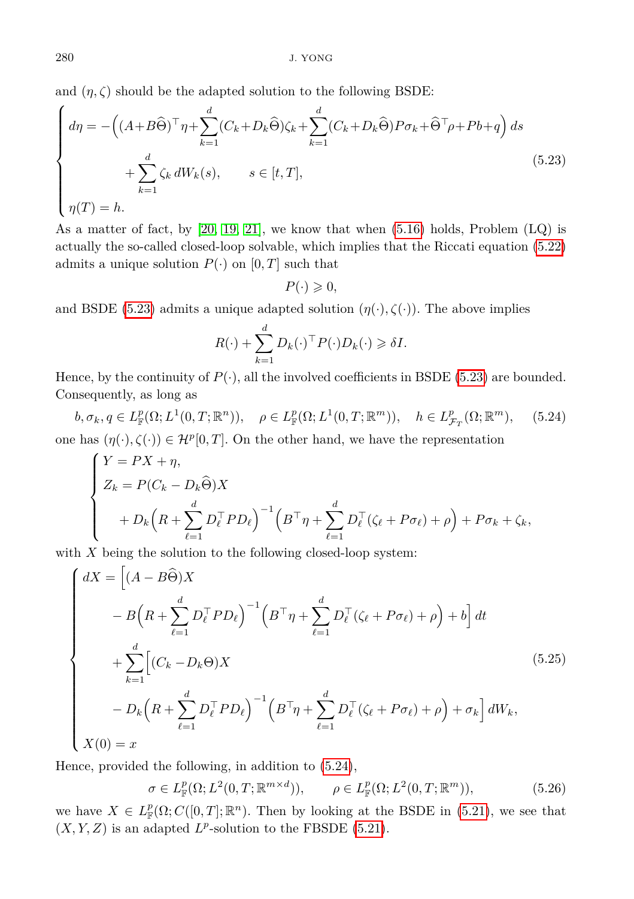and  $(\eta, \zeta)$  should be the adapted solution to the following BSDE:

$$
\begin{cases}\nd\eta = -\left((A+B\widehat{\Theta})^{\top}\eta + \sum_{k=1}^{d} (C_k + D_k\widehat{\Theta})\zeta_k + \sum_{k=1}^{d} (C_k + D_k\widehat{\Theta})P\sigma_k + \widehat{\Theta}^{\top}\rho + Pb + q\right)ds \\
+ \sum_{k=1}^{d} \zeta_k dW_k(s), \qquad s \in [t, T], \\
\eta(T) = h.\n\end{cases} \tag{5.23}
$$

As a matter of fact, by  $[20, 19, 21]$  $[20, 19, 21]$  $[20, 19, 21]$ , we know that when  $(5.16)$  holds, Problem  $(LQ)$  is actually the so-called closed-loop solvable, which implies that the Riccati equation [\(5.22\)](#page-24-0) admits a unique solution  $P(\cdot)$  on  $[0, T]$  such that

<span id="page-25-0"></span> $P(\cdot) \geqslant 0$ ,

and BSDE [\(5.23\)](#page-25-0) admits a unique adapted solution  $(\eta(\cdot), \zeta(\cdot))$ . The above implies

<span id="page-25-1"></span>
$$
R(\cdot) + \sum_{k=1}^{d} D_k(\cdot)^{\top} P(\cdot) D_k(\cdot) \geq \delta I.
$$

Hence, by the continuity of  $P(\cdot)$ , all the involved coefficients in BSDE [\(5.23\)](#page-25-0) are bounded. Consequently, as long as

$$
b, \sigma_k, q \in L^p_{\mathbb{F}}(\Omega; L^1(0,T; \mathbb{R}^n)), \quad \rho \in L^p_{\mathbb{F}}(\Omega; L^1(0,T; \mathbb{R}^m)), \quad h \in L^p_{\mathcal{F}_T}(\Omega; \mathbb{R}^m), \quad (5.24)
$$
  
one has  $(\eta(\cdot), \zeta(\cdot)) \in \mathcal{H}^p[0,T]$ . On the other hand, we have the representation

$$
\begin{cases}\nY = PX + \eta, \\
Z_k = P(C_k - D_k \widehat{\Theta})X \\
+ D_k \left(R + \sum_{\ell=1}^d D_\ell^\top P D_\ell\right)^{-1} \left(B^\top \eta + \sum_{\ell=1}^d D_\ell^\top (\zeta_\ell + P \sigma_\ell) + \rho\right) + P \sigma_k + \zeta_k,\n\end{cases}
$$

with *X* being the solution to the following closed-loop system:

$$
\begin{cases}\ndX = \left[ (A - B\widehat{\Theta})X \right. \\
- B\left( R + \sum_{\ell=1}^{d} D_{\ell}^{\top} P D_{\ell} \right)^{-1} \left( B^{\top} \eta + \sum_{\ell=1}^{d} D_{\ell}^{\top} (\zeta_{\ell} + P \sigma_{\ell}) + \rho \right) + b \right] dt \\
+ \sum_{k=1}^{d} \left[ (C_{k} - D_{k} \Theta)X \right. \\
- D_{k} \left( R + \sum_{\ell=1}^{d} D_{\ell}^{\top} P D_{\ell} \right)^{-1} \left( B^{\top} \eta + \sum_{\ell=1}^{d} D_{\ell}^{\top} (\zeta_{\ell} + P \sigma_{\ell}) + \rho \right) + \sigma_{k} \right] dW_{k}, \\
X(0) = x\n\end{cases}
$$
\n(5.25)

Hence, provided the following, in addition to [\(5.24\)](#page-25-1),

$$
\sigma \in L^p_{\mathbb{F}}(\Omega; L^2(0,T; \mathbb{R}^{m \times d})), \qquad \rho \in L^p_{\mathbb{F}}(\Omega; L^2(0,T; \mathbb{R}^m)), \tag{5.26}
$$

we have  $X \in L^p_{\mathbb{F}}(\Omega; C([0,T]; \mathbb{R}^n)$ . Then by looking at the BSDE in [\(5.21\)](#page-23-1), we see that  $(X, Y, Z)$  is an adapted  $L^p$ -solution to the FBSDE [\(5.21\)](#page-23-1).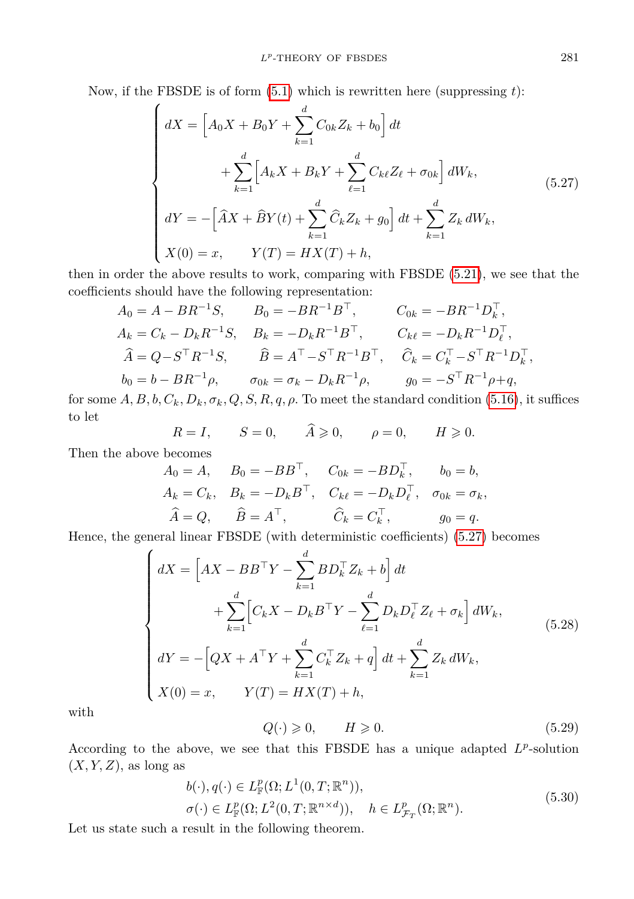Now, if the FBSDE is of form [\(5.1\)](#page-16-0) which is rewritten here (suppressing *t*):

<span id="page-26-0"></span>
$$
\begin{cases}\ndX = \left[A_0 X + B_0 Y + \sum_{k=1}^d C_{0k} Z_k + b_0\right] dt \\
+ \sum_{k=1}^d \left[A_k X + B_k Y + \sum_{\ell=1}^d C_{k\ell} Z_\ell + \sigma_{0k}\right] dW_k, \\
dY = -\left[\hat{A}X + \hat{B}Y(t) + \sum_{k=1}^d \hat{C}_k Z_k + g_0\right] dt + \sum_{k=1}^d Z_k dW_k, \\
X(0) = x, \qquad Y(T) = HX(T) + h,\n\end{cases} \tag{5.27}
$$

then in order the above results to work, comparing with FBSDE [\(5.21\)](#page-23-1), we see that the coefficients should have the following representation:

$$
A_0 = A - BR^{-1}S, \t B_0 = -BR^{-1}B^{\top}, \t C_{0k} = -BR^{-1}D_k^{\top},
$$
  
\n
$$
A_k = C_k - D_kR^{-1}S, \t B_k = -D_kR^{-1}B^{\top}, \t C_k \ell = -D_kR^{-1}D_\ell^{\top},
$$
  
\n
$$
\hat{A} = Q - S^{\top}R^{-1}S, \t \hat{B} = A^{\top} - S^{\top}R^{-1}B^{\top}, \t \hat{C}_k = C_k^{\top} - S^{\top}R^{-1}D_k^{\top},
$$
  
\n
$$
b_0 = b - BR^{-1}\rho, \t \sigma_{0k} = \sigma_k - D_kR^{-1}\rho, \t g_0 = -S^{\top}R^{-1}\rho + q,
$$

for some  $A, B, b, C_k, D_k, \sigma_k, Q, S, R, q, \rho$ . To meet the standard condition [\(5.16\)](#page-22-2), it suffices to let

$$
R = I, \qquad S = 0, \qquad \widehat{A} \geqslant 0, \qquad \rho = 0, \qquad H \geqslant 0.
$$

Then the above becomes

$$
A_0 = A, \quad B_0 = -BB^\top, \quad C_{0k} = -BD_k^\top, \quad b_0 = b,
$$
  
\n
$$
A_k = C_k, \quad B_k = -D_k B^\top, \quad C_{k\ell} = -D_k D_\ell^\top, \quad \sigma_{0k} = \sigma_k,
$$
  
\n
$$
\widehat{A} = Q, \quad \widehat{B} = A^\top, \quad \widehat{C}_k = C_k^\top, \quad g_0 = q.
$$

Hence, the general linear FBSDE (with deterministic coefficients) [\(5.27\)](#page-26-0) becomes

$$
\begin{cases}\n dX = \left[ AX - BB^{\top}Y - \sum_{k=1}^{d} BD_{k}^{\top} Z_{k} + b \right] dt \\
 + \sum_{k=1}^{d} \left[ C_{k}X - D_{k}B^{\top}Y - \sum_{\ell=1}^{d} D_{k}D_{\ell}^{\top} Z_{\ell} + \sigma_{k} \right] dW_{k}, \\
 dY = -\left[ QX + A^{\top}Y + \sum_{k=1}^{d} C_{k}^{\top} Z_{k} + q \right] dt + \sum_{k=1}^{d} Z_{k} dW_{k}, \\
 X(0) = x, \qquad Y(T) = HX(T) + h,\n\end{cases} \tag{5.28}
$$

<span id="page-26-1"></span>with

<span id="page-26-3"></span>
$$
Q(\cdot) \geqslant 0, \qquad H \geqslant 0. \tag{5.29}
$$

According to the above, we see that this FBSDE has a unique adapted  $L^p$ -solution  $(X, Y, Z)$ , as long as

<span id="page-26-2"></span>
$$
b(\cdot), q(\cdot) \in L_{\mathbb{F}}^p(\Omega; L^1(0,T;\mathbb{R}^n)),
$$
  
\n
$$
\sigma(\cdot) \in L_{\mathbb{F}}^p(\Omega; L^2(0,T;\mathbb{R}^{n \times d})), \quad h \in L_{\mathcal{F}_T}^p(\Omega; \mathbb{R}^n).
$$
\n(5.30)

Let us state such a result in the following theorem.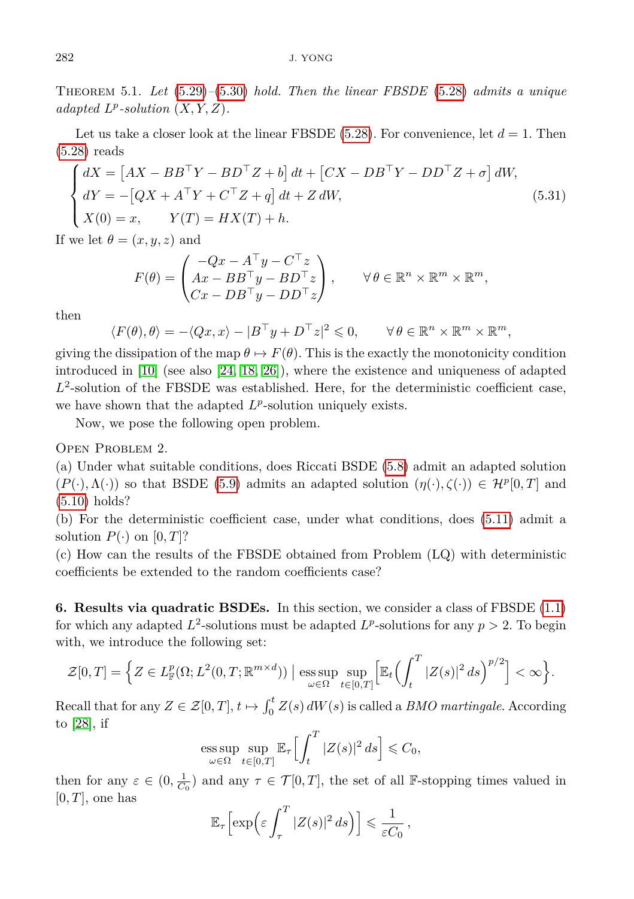Theorem 5.1. *Let* [\(5.29\)](#page-26-1)*–*[\(5.30\)](#page-26-2) *hold. Then the linear FBSDE* [\(5.28\)](#page-26-3) *admits a unique adapted*  $L^p$ -solution  $(X, Y, Z)$ *.* 

Let us take a closer look at the linear FBSDE  $(5.28)$ . For convenience, let  $d = 1$ . Then [\(5.28\)](#page-26-3) reads

$$
\begin{cases}\n dX = \left[ AX - BB^{\top}Y - BD^{\top}Z + b \right] dt + \left[ CX - DB^{\top}Y - DD^{\top}Z + \sigma \right] dW, \\
 dY = -\left[ QX + A^{\top}Y + C^{\top}Z + q \right] dt + Z dW, \\
 X(0) = x, \qquad Y(T) = HX(T) + h.\n\end{cases} \tag{5.31}
$$

If we let  $\theta = (x, y, z)$  and

$$
F(\theta) = \begin{pmatrix} -Qx - A^{\top}y - C^{\top}z \\ Ax - BB^{\top}y - BD^{\top}z \\ Cx - DB^{\top}y - DD^{\top}z \end{pmatrix}, \quad \forall \theta \in \mathbb{R}^{n} \times \mathbb{R}^{m} \times \mathbb{R}^{m},
$$

then

$$
\langle F(\theta), \theta \rangle = -\langle Qx, x \rangle - |B^{\top}y + D^{\top}z|^2 \leq 0, \qquad \forall \theta \in \mathbb{R}^n \times \mathbb{R}^m \times \mathbb{R}^m,
$$

giving the dissipation of the map  $\theta \mapsto F(\theta)$ . This is the exactly the monotonicity condition introduced in [\[10\]](#page-30-11) (see also [\[24,](#page-31-8) [18,](#page-31-9) [26\]](#page-31-0)), where the existence and uniqueness of adapted *L* 2 -solution of the FBSDE was established. Here, for the deterministic coefficient case, we have shown that the adapted  $L^p$ -solution uniquely exists.

Now, we pose the following open problem.

Open Problem 2.

(a) Under what suitable conditions, does Riccati BSDE [\(5.8\)](#page-19-0) admit an adapted solution  $(P(\cdot), \Lambda(\cdot))$  so that BSDE [\(5.9\)](#page-19-1) admits an adapted solution  $(\eta(\cdot), \zeta(\cdot)) \in \mathcal{H}^p[0, T]$  and [\(5.10\)](#page-20-0) holds?

(b) For the deterministic coefficient case, under what conditions, does [\(5.11\)](#page-21-0) admit a solution  $P(\cdot)$  on  $[0,T]$ ?

(c) How can the results of the FBSDE obtained from Problem (LQ) with deterministic coefficients be extended to the random coefficients case?

**6. Results via quadratic BSDEs.** In this section, we consider a class of FBSDE [\(1.1\)](#page-0-0) for which any adapted  $L^2$ -solutions must be adapted  $L^p$ -solutions for any  $p > 2$ . To begin with, we introduce the following set:

$$
\mathcal{Z}[0,T] = \Big\{ Z \in L^p_{\mathbb{F}}(\Omega; L^2(0,T;\mathbb{R}^{m \times d})) \; \big| \; \underset{\omega \in \Omega}{\mathrm{ess}\sup} \sup_{t \in [0,T]} \Big[ \mathbb{E}_t \Big( \int_t^T |Z(s)|^2 \, ds \Big)^{p/2} \Big] < \infty \Big\}.
$$

Recall that for any  $Z \in \mathcal{Z}[0,T], t \mapsto \int_0^t Z(s) dW(s)$  is called a *BMO martingale*. According to [\[28\]](#page-31-1), if

$$
\underset{\omega \in \Omega}{\text{ess sup }} \underset{t \in [0,T]}{\text{sup }} \mathbb{E}_{\tau} \Big[ \int_{t}^{T} |Z(s)|^{2} ds \Big] \leqslant C_{0},
$$

then for any  $\varepsilon \in (0, \frac{1}{C_0})$  and any  $\tau \in \mathcal{T}[0,T]$ , the set of all F-stopping times valued in  $[0, T]$ , one has

$$
\mathbb{E}_{\tau}\left[\exp\left(\varepsilon\int_{\tau}^{T}|Z(s)|^2 ds\right)\right] \leq \frac{1}{\varepsilon C_0},
$$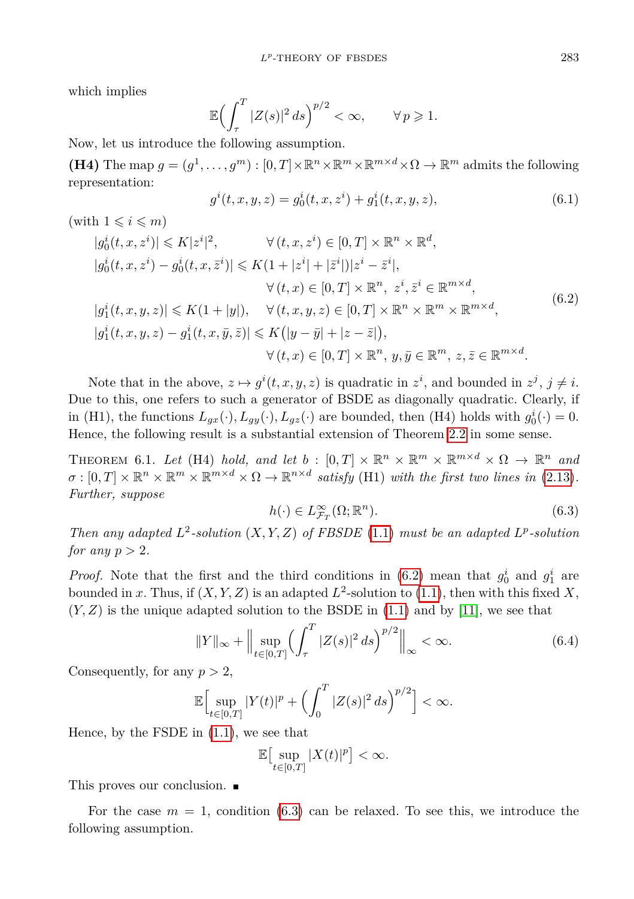which implies

$$
\mathbb{E}\Bigl(\int_{\tau}^{T}|Z(s)|^2\,ds\Bigr)^{p/2}<\infty,\qquad\forall\,p\geqslant 1.
$$

Now, let us introduce the following assumption.

**(H4)** The map  $g = (g^1, \ldots, g^m) : [0, T] \times \mathbb{R}^n \times \mathbb{R}^m \times \mathbb{R}^{m \times d} \times \Omega \to \mathbb{R}^m$  admits the following representation:

<span id="page-28-0"></span>
$$
g^{i}(t, x, y, z) = g_{0}^{i}(t, x, z^{i}) + g_{1}^{i}(t, x, y, z),
$$
\n(6.1)

(with  $1 \leqslant i \leqslant m$ )

$$
|g_0^i(t, x, z^i)| \le K|z^i|^2, \qquad \forall (t, x, z^i) \in [0, T] \times \mathbb{R}^n \times \mathbb{R}^d,
$$
  
\n
$$
|g_0^i(t, x, z^i) - g_0^i(t, x, \bar{z}^i)| \le K(1 + |z^i| + |\bar{z}^i|)|z^i - \bar{z}^i|,
$$
  
\n
$$
\forall (t, x) \in [0, T] \times \mathbb{R}^n, z^i, \bar{z}^i \in \mathbb{R}^{m \times d},
$$
  
\n
$$
|g_1^i(t, x, y, z)| \le K(1 + |y|), \quad \forall (t, x, y, z) \in [0, T] \times \mathbb{R}^n \times \mathbb{R}^m \times \mathbb{R}^{m \times d},
$$
  
\n
$$
|g_1^i(t, x, y, z) - g_1^i(t, x, \bar{y}, \bar{z})| \le K(|y - \bar{y}| + |z - \bar{z}|),
$$
  
\n
$$
\forall (t, x) \in [0, T] \times \mathbb{R}^n, y, \bar{y} \in \mathbb{R}^m, z, \bar{z} \in \mathbb{R}^{m \times d}.
$$
  
\n(6.2)

Note that in the above,  $z \mapsto g^i(t, x, y, z)$  is quadratic in  $z^i$ , and bounded in  $z^j$ ,  $j \neq i$ . Due to this, one refers to such a generator of BSDE as diagonally quadratic. Clearly, if in (H1), the functions  $L_{gx}(\cdot)$ ,  $L_{gy}(\cdot)$ ,  $L_{gz}(\cdot)$  are bounded, then (H4) holds with  $g_0^i(\cdot) = 0$ . Hence, the following result is a substantial extension of Theorem [2.2](#page-4-3) in some sense.

<span id="page-28-2"></span>THEOREM 6.1. Let (H4) hold, and let  $b : [0,T] \times \mathbb{R}^n \times \mathbb{R}^m \times \mathbb{R}^{m \times d} \times \Omega \to \mathbb{R}^n$  and  $\sigma : [0, T] \times \mathbb{R}^n \times \mathbb{R}^m \times \mathbb{R}^{m \times d} \times \Omega \to \mathbb{R}^{n \times d}$  satisfy (H1) with the first two lines in [\(2.13\)](#page-6-2). *Further, suppose*

<span id="page-28-1"></span>
$$
h(\cdot) \in L^{\infty}_{\mathcal{F}_T}(\Omega; \mathbb{R}^n). \tag{6.3}
$$

*Then any adapted*  $L^2$ -solution  $(X, Y, Z)$  of FBSDE [\(1.1\)](#page-0-0) must be an adapted  $L^p$ -solution *for any*  $p > 2$ *.* 

*Proof.* Note that the first and the third conditions in [\(6.2\)](#page-28-0) mean that  $g_0^i$  and  $g_1^i$  are bounded in *x*. Thus, if  $(X, Y, Z)$  is an adapted  $L^2$ -solution to [\(1.1\)](#page-0-0), then with this fixed X,  $(Y, Z)$  is the unique adapted solution to the BSDE in  $(1.1)$  and by [\[11\]](#page-30-12), we see that

$$
||Y||_{\infty} + \Big\| \sup_{t \in [0,T]} \Big( \int_{\tau}^{T} |Z(s)|^2 \, ds \Big)^{p/2} \Big\|_{\infty} < \infty. \tag{6.4}
$$

Consequently, for any *p >* 2,

$$
\mathbb{E}\Big[\sup_{t\in[0,T]}|Y(t)|^p+\Big(\int_0^T|Z(s)|^2\,ds\Big)^{p/2}\Big]<\infty.
$$

Hence, by the FSDE in [\(1.1\)](#page-0-0), we see that

$$
\mathbb{E}\big[\sup_{t\in[0,T]}|X(t)|^p\big]<\infty.
$$

This proves our conclusion.

For the case  $m = 1$ , condition [\(6.3\)](#page-28-1) can be relaxed. To see this, we introduce the following assumption.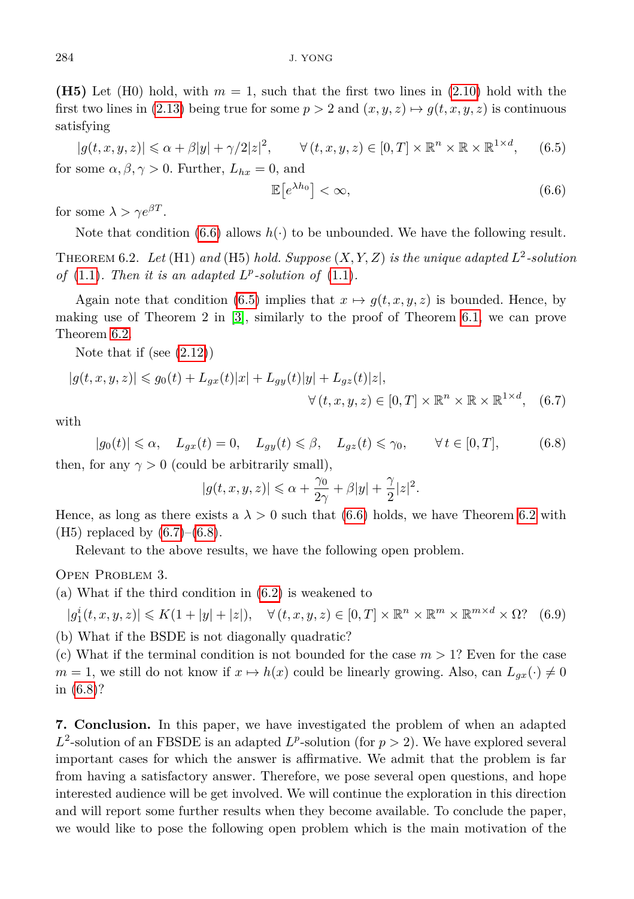**(H5)** Let (H0) hold, with  $m = 1$ , such that the first two lines in [\(2.10\)](#page-5-0) hold with the first two lines in [\(2.13\)](#page-6-2) being true for some  $p > 2$  and  $(x, y, z) \mapsto g(t, x, y, z)$  is continuous satisfying

<span id="page-29-1"></span>
$$
|g(t, x, y, z)| \le \alpha + \beta |y| + \gamma/2 |z|^2, \qquad \forall (t, x, y, z) \in [0, T] \times \mathbb{R}^n \times \mathbb{R} \times \mathbb{R}^{1 \times d}, \qquad (6.5)
$$
  
for some  $\alpha, \beta, \gamma > 0$ . Further,  $L_{hx} = 0$ , and

<span id="page-29-3"></span><span id="page-29-0"></span>
$$
\mathbb{E}\left[e^{\lambda h_0}\right] < \infty,\tag{6.6}
$$

for some  $\lambda > \gamma e^{\beta T}$ .

Note that condition  $(6.6)$  allows  $h(\cdot)$  to be unbounded. We have the following result.

<span id="page-29-2"></span>THEOREM 6.2. Let (H1) and (H5) hold. Suppose  $(X, Y, Z)$  is the unique adapted  $L^2$ -solution *of* [\(1.1\)](#page-0-0). Then it is an adapted  $L^p$ -solution of (1.1).

Again note that condition [\(6.5\)](#page-29-1) implies that  $x \mapsto g(t, x, y, z)$  is bounded. Hence, by making use of Theorem 2 in [\[3\]](#page-30-13), similarly to the proof of Theorem [6.1,](#page-28-2) we can prove Theorem [6.2.](#page-29-2)

Note that if (see [\(2.12\)](#page-6-3))

$$
|g(t, x, y, z)| \le g_0(t) + L_{gx}(t)|x| + L_{gy}(t)|y| + L_{gz}(t)|z|,
$$
  

$$
\forall (t, x, y, z) \in [0, T] \times \mathbb{R}^n \times \mathbb{R} \times \mathbb{R}^{1 \times d}, \quad (6.7)
$$

<span id="page-29-4"></span>with

 $|g_0(t)| \le \alpha$ ,  $L_{gx}(t) = 0$ ,  $L_{gy}(t) \le \beta$ ,  $L_{gz}(t) \le \gamma_0$ ,  $\forall t \in [0, T]$ , (6.8) then, for any  $\gamma > 0$  (could be arbitrarily small),

$$
|g(t,x,y,z)|\leqslant \alpha+\frac{\gamma_0}{2\gamma}+\beta|y|+\frac{\gamma}{2}|z|^2.
$$

Hence, as long as there exists a  $\lambda > 0$  such that [\(6.6\)](#page-29-0) holds, we have Theorem [6.2](#page-29-2) with (H5) replaced by  $(6.7)$ – $(6.8)$ .

Relevant to the above results, we have the following open problem.

Open Problem 3.

(a) What if the third condition in [\(6.2\)](#page-28-0) is weakened to

$$
|g_1^i(t, x, y, z)| \le K(1 + |y| + |z|), \quad \forall (t, x, y, z) \in [0, T] \times \mathbb{R}^n \times \mathbb{R}^m \times \mathbb{R}^{m \times d} \times \Omega
$$
 (6.9)

(b) What if the BSDE is not diagonally quadratic?

(c) What if the terminal condition is not bounded for the case  $m > 1$ ? Even for the case  $m = 1$ , we still do not know if  $x \mapsto h(x)$  could be linearly growing. Also, can  $L_{ax}(\cdot) \neq 0$ in [\(6.8\)](#page-29-4)?

**7. Conclusion.** In this paper, we have investigated the problem of when an adapted  $L^2$ -solution of an FBSDE is an adapted  $L^p$ -solution (for  $p > 2$ ). We have explored several important cases for which the answer is affirmative. We admit that the problem is far from having a satisfactory answer. Therefore, we pose several open questions, and hope interested audience will be get involved. We will continue the exploration in this direction and will report some further results when they become available. To conclude the paper, we would like to pose the following open problem which is the main motivation of the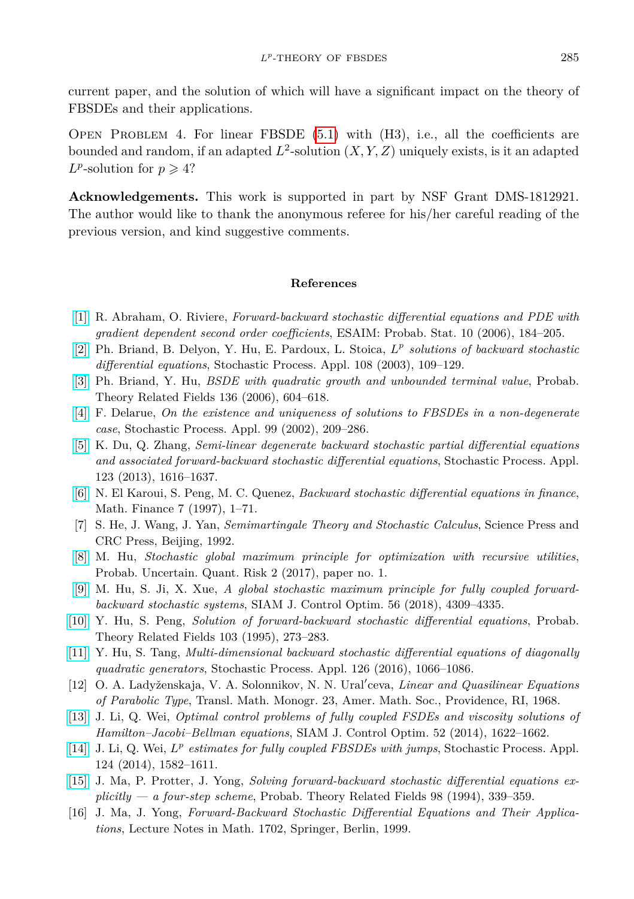current paper, and the solution of which will have a significant impact on the theory of FBSDEs and their applications.

OPEN PROBLEM 4. For linear FBSDE  $(5.1)$  with  $(H3)$ , i.e., all the coefficients are bounded and random, if an adapted  $L^2$ -solution  $(X, Y, Z)$  uniquely exists, is it an adapted  $L^p$ -solution for  $p \geqslant 4$ ?

**Acknowledgements.** This work is supported in part by NSF Grant DMS-1812921. The author would like to thank the anonymous referee for his/her careful reading of the previous version, and kind suggestive comments.

## **References**

- [\[1\]](http://dx.doi.org/10.1051/ps:2006005) R. Abraham, O. Riviere, *Forward-backward stochastic differential equations and PDE with gradient dependent second order coefficients*, ESAIM: Probab. Stat. 10 (2006), 184–205.
- <span id="page-30-7"></span>[\[2\]](http://dx.doi.org/10.1016/S0304-4149(03)00089-9) Ph. Briand, B. Delyon, Y. Hu, E. Pardoux, L. Stoica, *L p solutions of backward stochastic differential equations*, Stochastic Process. Appl. 108 (2003), 109–129.
- <span id="page-30-13"></span>[\[3\]](http://dx.doi.org/10.1007/s00440-006-0497-0) Ph. Briand, Y. Hu, *BSDE with quadratic growth and unbounded terminal value*, Probab. Theory Related Fields 136 (2006), 604–618.
- [\[4\]](http://dx.doi.org/10.1016/S0304-4149(02)00085-6) F. Delarue, *On the existence and uniqueness of solutions to FBSDEs in a non-degenerate case*, Stochastic Process. Appl. 99 (2002), 209–286.
- <span id="page-30-9"></span>[\[5\]](http://dx.doi.org/10.1016/j.spa.2013.01.005) K. Du, Q. Zhang, *Semi-linear degenerate backward stochastic partial differential equations and associated forward-backward stochastic differential equations*, Stochastic Process. Appl. 123 (2013), 1616–1637.
- <span id="page-30-8"></span>[\[6\]](http://dx.doi.org/10.1111/1467-9965.00022) N. El Karoui, S. Peng, M. C. Quenez, *Backward stochastic differential equations in finance*, Math. Finance 7 (1997), 1–71.
- <span id="page-30-6"></span>[7] S. He, J. Wang, J. Yan, *Semimartingale Theory and Stochastic Calculus*, Science Press and CRC Press, Beijing, 1992.
- <span id="page-30-3"></span>[\[8\]](http://dx.doi.org/10.1186/s41546-017-0014-7) M. Hu, *Stochastic global maximum principle for optimization with recursive utilities*, Probab. Uncertain. Quant. Risk 2 (2017), paper no. 1.
- <span id="page-30-4"></span>[\[9\]](http://dx.doi.org/10.1137/18M1179547) M. Hu, S. Ji, X. Xue, *A global stochastic maximum principle for fully coupled forwardbackward stochastic systems*, SIAM J. Control Optim. 56 (2018), 4309–4335.
- <span id="page-30-11"></span>[\[10\]](http://dx.doi.org/10.1007/BF01204218) Y. Hu, S. Peng, *Solution of forward-backward stochastic differential equations*, Probab. Theory Related Fields 103 (1995), 273–283.
- <span id="page-30-12"></span>[\[11\]](http://dx.doi.org/10.1016/j.spa.2015.10.011) Y. Hu, S. Tang, *Multi-dimensional backward stochastic differential equations of diagonally quadratic generators*, Stochastic Process. Appl. 126 (2016), 1066–1086.
- <span id="page-30-10"></span>[12] O. A. Ladyženskaja, V. A. Solonnikov, N. N. Ural'ceva, *Linear and Quasilinear Equations of Parabolic Type*, Transl. Math. Monogr. 23, Amer. Math. Soc., Providence, RI, 1968.
- <span id="page-30-1"></span>[\[13\]](http://dx.doi.org/10.1137/100816778) J. Li, Q. Wei, *Optimal control problems of fully coupled FSDEs and viscosity solutions of Hamilton–Jacobi–Bellman equations*, SIAM J. Control Optim. 52 (2014), 1622–1662.
- <span id="page-30-2"></span>[\[14\]](http://dx.doi.org/10.1016/j.spa.2013.12.005) J. Li, Q. Wei, *L p estimates for fully coupled FBSDEs with jumps*, Stochastic Process. Appl. 124 (2014), 1582–1611.
- <span id="page-30-5"></span>[\[15\]](http://dx.doi.org/10.1007/BF01192258) J. Ma, P. Protter, J. Yong, *Solving forward-backward stochastic differential equations explicitly — a four-step scheme*, Probab. Theory Related Fields 98 (1994), 339–359.
- <span id="page-30-0"></span>[16] J. Ma, J. Yong, *Forward-Backward Stochastic Differential Equations and Their Applications*, Lecture Notes in Math. 1702, Springer, Berlin, 1999.